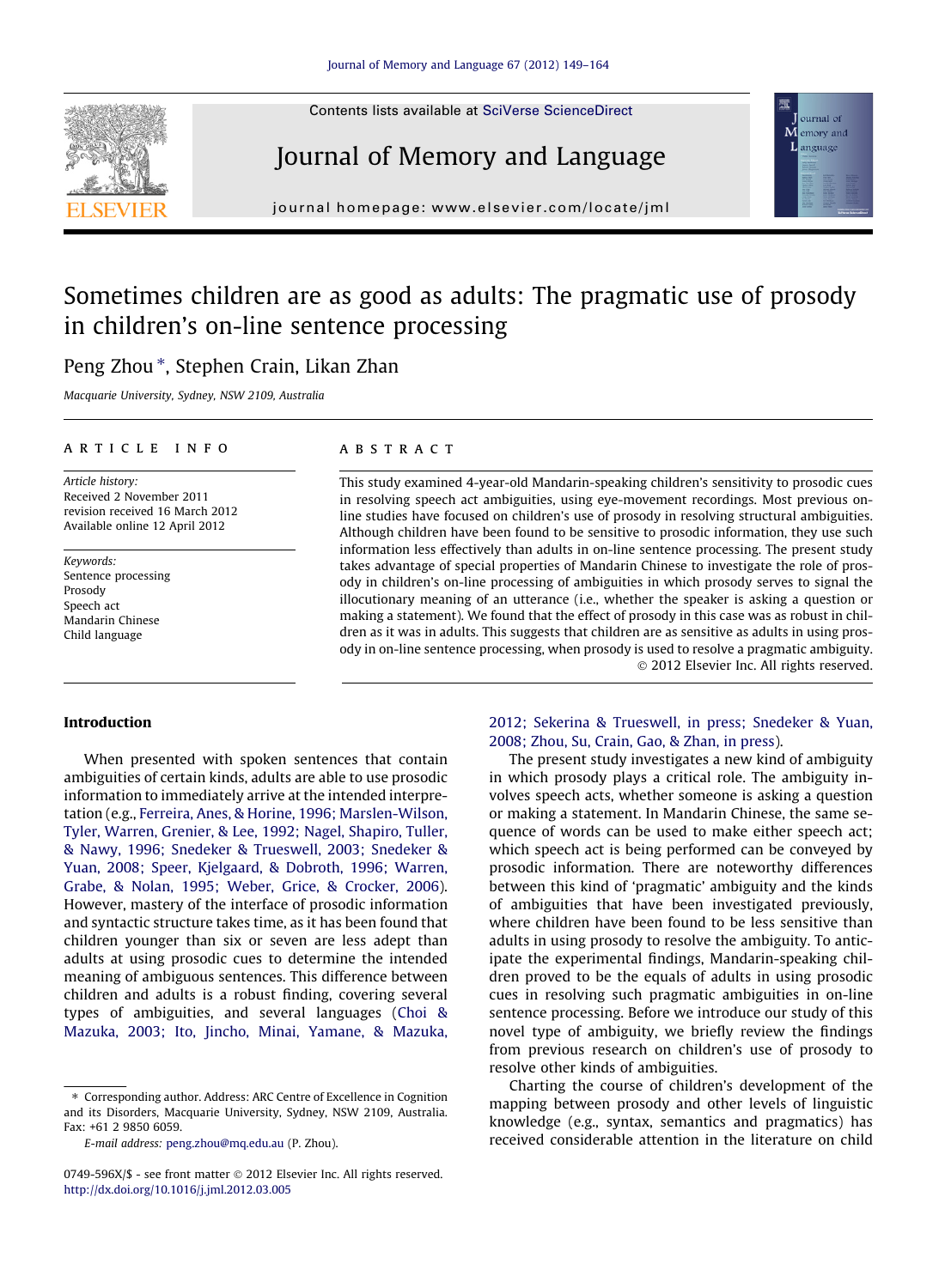Contents lists available at [SciVerse ScienceDirect](http://www.sciencedirect.com/science/journal/0749596X)



# Journal of Memory and Language



journal homepage: www.el [sevier.com/locate/jml](http://www.elsevier.com/locate/jml)

# Sometimes children are as good as adults: The pragmatic use of prosody in children's on-line sentence processing

# Peng Zhou \*, Stephen Crain, Likan Zhan

Macquarie University, Sydney, NSW 2109, Australia

#### article info

Article history: Received 2 November 2011 revision received 16 March 2012 Available online 12 April 2012

Keywords: Sentence processing Prosody Speech act Mandarin Chinese Child language

# **ABSTRACT**

This study examined 4-year-old Mandarin-speaking children's sensitivity to prosodic cues in resolving speech act ambiguities, using eye-movement recordings. Most previous online studies have focused on children's use of prosody in resolving structural ambiguities. Although children have been found to be sensitive to prosodic information, they use such information less effectively than adults in on-line sentence processing. The present study takes advantage of special properties of Mandarin Chinese to investigate the role of prosody in children's on-line processing of ambiguities in which prosody serves to signal the illocutionary meaning of an utterance (i.e., whether the speaker is asking a question or making a statement). We found that the effect of prosody in this case was as robust in children as it was in adults. This suggests that children are as sensitive as adults in using prosody in on-line sentence processing, when prosody is used to resolve a pragmatic ambiguity.  $\odot$  2012 Elsevier Inc. All rights reserved.

# Introduction

When presented with spoken sentences that contain ambiguities of certain kinds, adults are able to use prosodic information to immediately arrive at the intended interpretation (e.g., [Ferreira, Anes, & Horine, 1996; Marslen-Wilson,](#page-15-0) [Tyler, Warren, Grenier, & Lee, 1992; Nagel, Shapiro, Tuller,](#page-15-0) [& Nawy, 1996; Snedeker & Trueswell, 2003; Snedeker &](#page-15-0) [Yuan, 2008; Speer, Kjelgaard, & Dobroth, 1996; Warren,](#page-15-0) [Grabe, & Nolan, 1995; Weber, Grice, & Crocker, 2006](#page-15-0)). However, mastery of the interface of prosodic information and syntactic structure takes time, as it has been found that children younger than six or seven are less adept than adults at using prosodic cues to determine the intended meaning of ambiguous sentences. This difference between children and adults is a robust finding, covering several types of ambiguities, and several languages [\(Choi &](#page-14-0) [Mazuka, 2003; Ito, Jincho, Minai, Yamane, & Mazuka,](#page-14-0)

# [2012; Sekerina & Trueswell, in press; Snedeker & Yuan,](#page-14-0) [2008; Zhou, Su, Crain, Gao, & Zhan, in press\)](#page-14-0).

The present study investigates a new kind of ambiguity in which prosody plays a critical role. The ambiguity involves speech acts, whether someone is asking a question or making a statement. In Mandarin Chinese, the same sequence of words can be used to make either speech act; which speech act is being performed can be conveyed by prosodic information. There are noteworthy differences between this kind of 'pragmatic' ambiguity and the kinds of ambiguities that have been investigated previously, where children have been found to be less sensitive than adults in using prosody to resolve the ambiguity. To anticipate the experimental findings, Mandarin-speaking children proved to be the equals of adults in using prosodic cues in resolving such pragmatic ambiguities in on-line sentence processing. Before we introduce our study of this novel type of ambiguity, we briefly review the findings from previous research on children's use of prosody to resolve other kinds of ambiguities.

Charting the course of children's development of the mapping between prosody and other levels of linguistic knowledge (e.g., syntax, semantics and pragmatics) has received considerable attention in the literature on child

<sup>⇑</sup> Corresponding author. Address: ARC Centre of Excellence in Cognition and its Disorders, Macquarie University, Sydney, NSW 2109, Australia. Fax: +61 2 9850 6059.

E-mail address: [peng.zhou@mq.edu.au](mailto:peng.zhou@mq.edu.au) (P. Zhou).

<sup>0749-596</sup>X/\$ - see front matter @ 2012 Elsevier Inc. All rights reserved. <http://dx.doi.org/10.1016/j.jml.2012.03.005>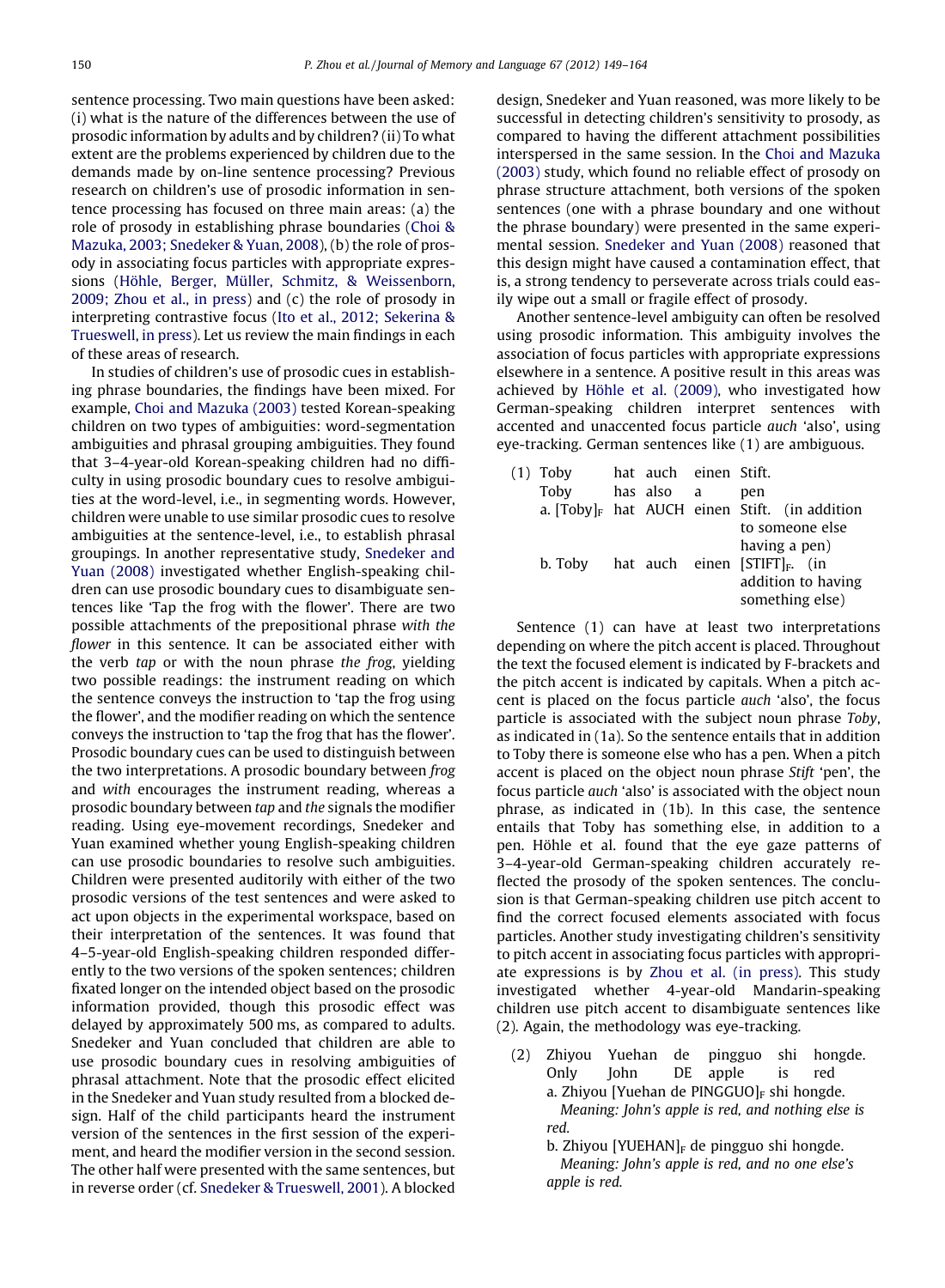sentence processing. Two main questions have been asked: (i) what is the nature of the differences between the use of prosodic information by adults and by children? (ii) To what extent are the problems experienced by children due to the demands made by on-line sentence processing? Previous research on children's use of prosodic information in sentence processing has focused on three main areas: (a) the role of prosody in establishing phrase boundaries ([Choi &](#page-14-0) [Mazuka, 2003; Snedeker & Yuan, 2008\)](#page-14-0), (b) the role of prosody in associating focus particles with appropriate expressions ([Höhle, Berger, Müller, Schmitz, & Weissenborn,](#page-15-0) [2009; Zhou et al., in press](#page-15-0)) and (c) the role of prosody in interpreting contrastive focus ([Ito et al., 2012; Sekerina &](#page-15-0) [Trueswell, in press\)](#page-15-0). Let us review the main findings in each of these areas of research.

In studies of children's use of prosodic cues in establishing phrase boundaries, the findings have been mixed. For example, [Choi and Mazuka \(2003\)](#page-14-0) tested Korean-speaking children on two types of ambiguities: word-segmentation ambiguities and phrasal grouping ambiguities. They found that 3–4-year-old Korean-speaking children had no difficulty in using prosodic boundary cues to resolve ambiguities at the word-level, i.e., in segmenting words. However, children were unable to use similar prosodic cues to resolve ambiguities at the sentence-level, i.e., to establish phrasal groupings. In another representative study, [Snedeker and](#page-15-0) [Yuan \(2008\)](#page-15-0) investigated whether English-speaking children can use prosodic boundary cues to disambiguate sentences like 'Tap the frog with the flower'. There are two possible attachments of the prepositional phrase with the flower in this sentence. It can be associated either with the verb tap or with the noun phrase the frog, yielding two possible readings: the instrument reading on which the sentence conveys the instruction to 'tap the frog using the flower', and the modifier reading on which the sentence conveys the instruction to 'tap the frog that has the flower'. Prosodic boundary cues can be used to distinguish between the two interpretations. A prosodic boundary between frog and with encourages the instrument reading, whereas a prosodic boundary between tap and the signals the modifier reading. Using eye-movement recordings, Snedeker and Yuan examined whether young English-speaking children can use prosodic boundaries to resolve such ambiguities. Children were presented auditorily with either of the two prosodic versions of the test sentences and were asked to act upon objects in the experimental workspace, based on their interpretation of the sentences. It was found that 4–5-year-old English-speaking children responded differently to the two versions of the spoken sentences; children fixated longer on the intended object based on the prosodic information provided, though this prosodic effect was delayed by approximately 500 ms, as compared to adults. Snedeker and Yuan concluded that children are able to use prosodic boundary cues in resolving ambiguities of phrasal attachment. Note that the prosodic effect elicited in the Snedeker and Yuan study resulted from a blocked design. Half of the child participants heard the instrument version of the sentences in the first session of the experiment, and heard the modifier version in the second session. The other half were presented with the same sentences, but in reverse order (cf. [Snedeker & Trueswell, 2001\)](#page-15-0). A blocked

design, Snedeker and Yuan reasoned, was more likely to be successful in detecting children's sensitivity to prosody, as compared to having the different attachment possibilities interspersed in the same session. In the [Choi and Mazuka](#page-14-0) [\(2003\)](#page-14-0) study, which found no reliable effect of prosody on phrase structure attachment, both versions of the spoken sentences (one with a phrase boundary and one without the phrase boundary) were presented in the same experimental session. [Snedeker and Yuan \(2008\)](#page-15-0) reasoned that this design might have caused a contamination effect, that is, a strong tendency to perseverate across trials could easily wipe out a small or fragile effect of prosody.

Another sentence-level ambiguity can often be resolved using prosodic information. This ambiguity involves the association of focus particles with appropriate expressions elsewhere in a sentence. A positive result in this areas was achieved by [Höhle et al. \(2009\),](#page-15-0) who investigated how German-speaking children interpret sentences with accented and unaccented focus particle auch 'also', using eye-tracking. German sentences like (1) are ambiguous.

| $(1)$ Toby<br>Toby | hat auch einen Stift.<br>has also a | pen                              |                                                  |
|--------------------|-------------------------------------|----------------------------------|--------------------------------------------------|
|                    |                                     |                                  | a. $[Toby]_F$ hat AUCH einen Stift. (in addition |
|                    |                                     | to someone else<br>having a pen) |                                                  |
| b. Toby            |                                     |                                  | hat auch einen [STIFT] <sub>F</sub> . (in        |
|                    |                                     |                                  | addition to having                               |
|                    |                                     |                                  | something else)                                  |

Sentence (1) can have at least two interpretations depending on where the pitch accent is placed. Throughout the text the focused element is indicated by F-brackets and the pitch accent is indicated by capitals. When a pitch accent is placed on the focus particle auch 'also', the focus particle is associated with the subject noun phrase Toby, as indicated in (1a). So the sentence entails that in addition to Toby there is someone else who has a pen. When a pitch accent is placed on the object noun phrase Stift 'pen', the focus particle auch 'also' is associated with the object noun phrase, as indicated in (1b). In this case, the sentence entails that Toby has something else, in addition to a pen. Höhle et al. found that the eye gaze patterns of 3–4-year-old German-speaking children accurately reflected the prosody of the spoken sentences. The conclusion is that German-speaking children use pitch accent to find the correct focused elements associated with focus particles. Another study investigating children's sensitivity to pitch accent in associating focus particles with appropriate expressions is by [Zhou et al. \(in press\)](#page-15-0). This study investigated whether 4-year-old Mandarin-speaking children use pitch accent to disambiguate sentences like (2). Again, the methodology was eye-tracking.

(2) Zhiyou Yuehan de pingguo shi hongde. Only John DE apple is red a. Zhiyou [Yuehan de PINGGUO] $_F$  shi hongde. Meaning: John's apple is red, and nothing else is red.

b. Zhiyou [YUEHAN] $_F$  de pingguo shi hongde. Meaning: John's apple is red, and no one else's apple is red.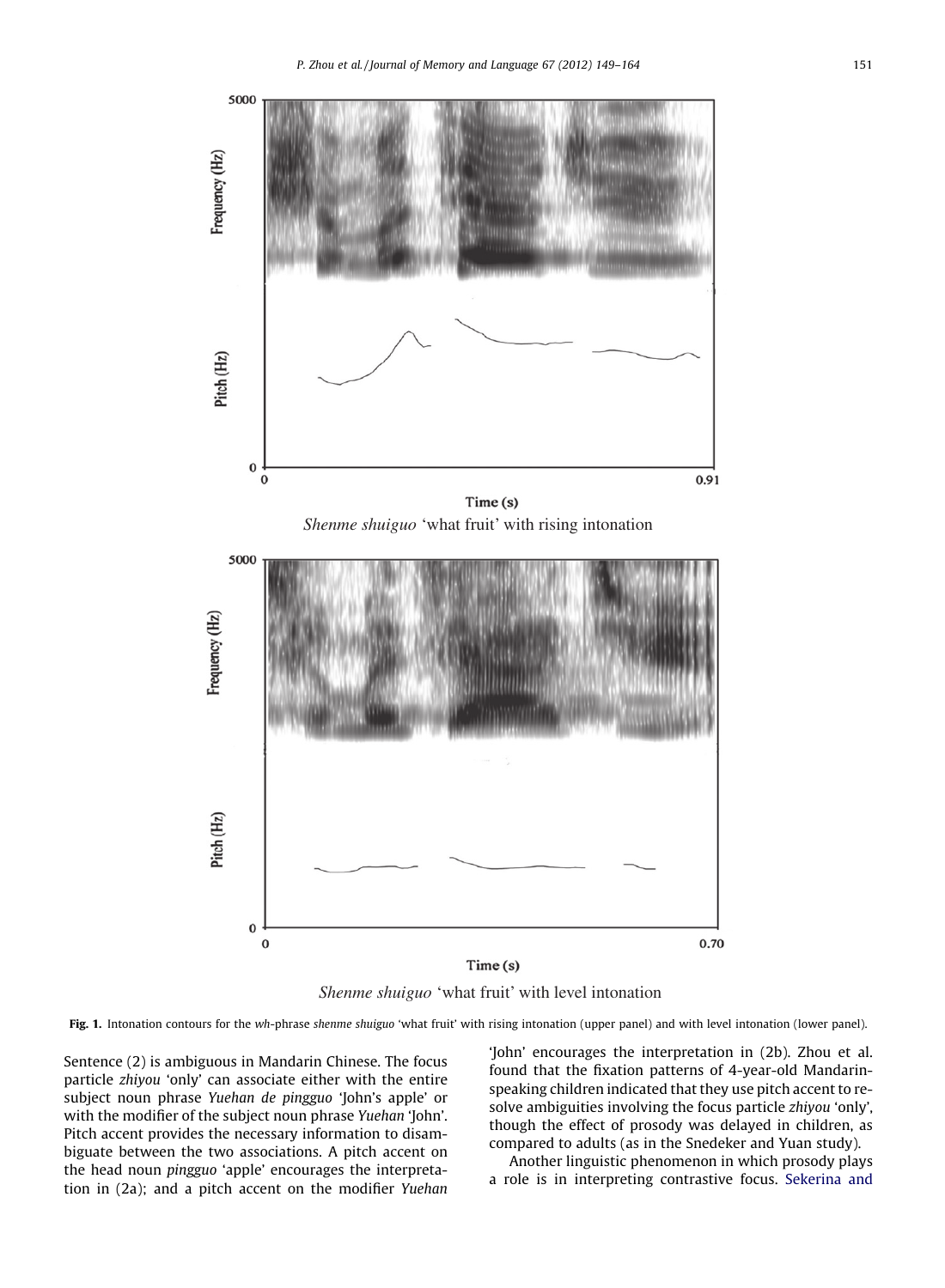<span id="page-2-0"></span>

 *Shenme shuiguo* 'what fruit' with level intonation

Fig. 1. Intonation contours for the wh-phrase shenme shuiguo 'what fruit' with rising intonation (upper panel) and with level intonation (lower panel).

Sentence (2) is ambiguous in Mandarin Chinese. The focus particle zhiyou 'only' can associate either with the entire subject noun phrase Yuehan de pingguo 'John's apple' or with the modifier of the subject noun phrase Yuehan 'John'. Pitch accent provides the necessary information to disambiguate between the two associations. A pitch accent on the head noun pingguo 'apple' encourages the interpretation in (2a); and a pitch accent on the modifier Yuehan

'John' encourages the interpretation in (2b). Zhou et al. found that the fixation patterns of 4-year-old Mandarinspeaking children indicated that they use pitch accent to resolve ambiguities involving the focus particle zhiyou 'only', though the effect of prosody was delayed in children, as compared to adults (as in the Snedeker and Yuan study).

Another linguistic phenomenon in which prosody plays a role is in interpreting contrastive focus. [Sekerina and](#page-15-0)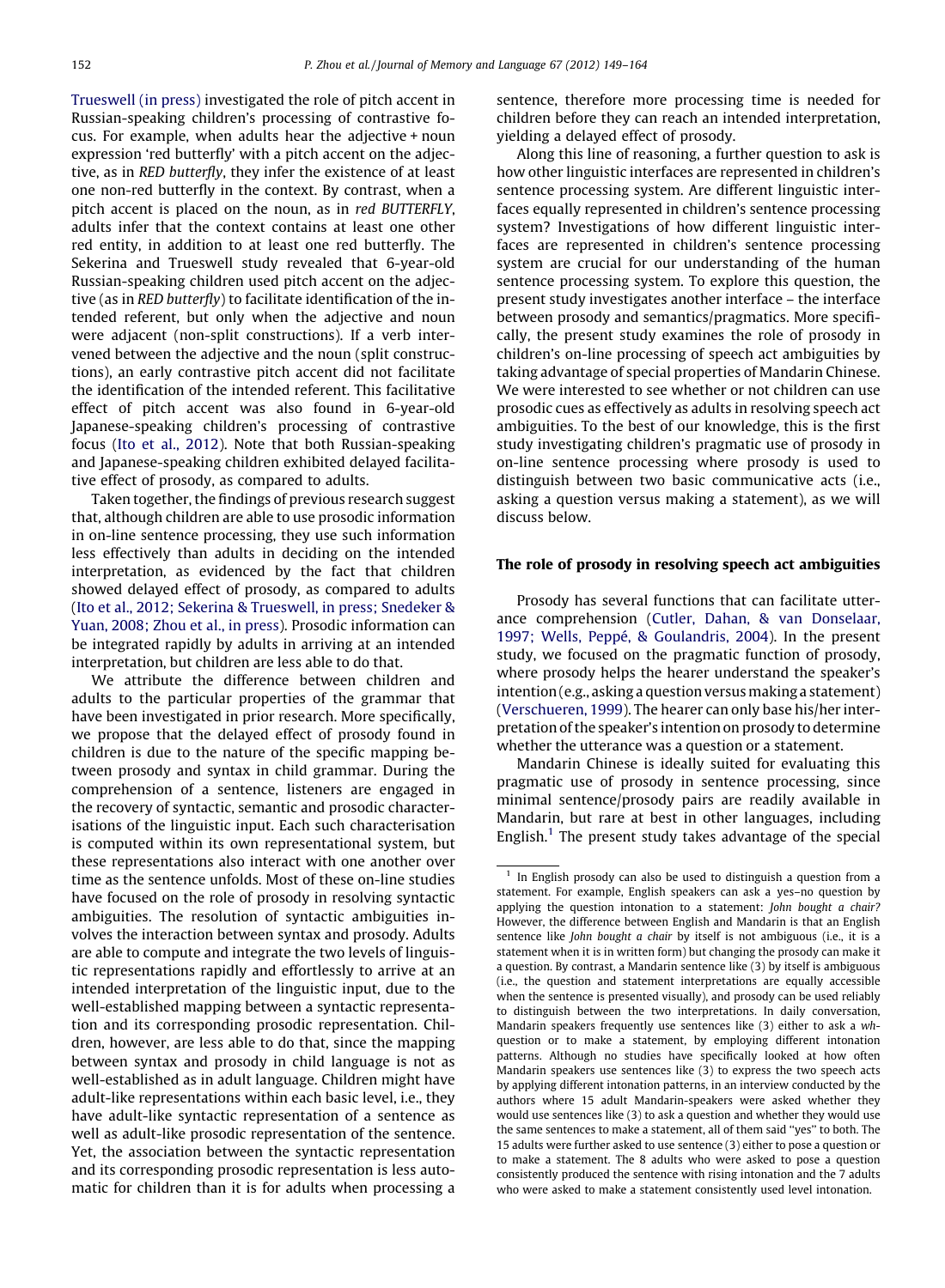[Trueswell \(in press\)](#page-15-0) investigated the role of pitch accent in Russian-speaking children's processing of contrastive focus. For example, when adults hear the adjective + noun expression 'red butterfly' with a pitch accent on the adjective, as in RED butterfly, they infer the existence of at least one non-red butterfly in the context. By contrast, when a pitch accent is placed on the noun, as in red BUTTERFLY, adults infer that the context contains at least one other red entity, in addition to at least one red butterfly. The Sekerina and Trueswell study revealed that 6-year-old Russian-speaking children used pitch accent on the adjective (as in RED butterfly) to facilitate identification of the intended referent, but only when the adjective and noun were adjacent (non-split constructions). If a verb intervened between the adjective and the noun (split constructions), an early contrastive pitch accent did not facilitate the identification of the intended referent. This facilitative effect of pitch accent was also found in 6-year-old Japanese-speaking children's processing of contrastive focus ([Ito et al., 2012](#page-15-0)). Note that both Russian-speaking and Japanese-speaking children exhibited delayed facilitative effect of prosody, as compared to adults.

Taken together, the findings of previous research suggest that, although children are able to use prosodic information in on-line sentence processing, they use such information less effectively than adults in deciding on the intended interpretation, as evidenced by the fact that children showed delayed effect of prosody, as compared to adults [\(Ito et al., 2012; Sekerina & Trueswell, in press; Snedeker &](#page-15-0) [Yuan, 2008; Zhou et al., in press\)](#page-15-0). Prosodic information can be integrated rapidly by adults in arriving at an intended interpretation, but children are less able to do that.

We attribute the difference between children and adults to the particular properties of the grammar that have been investigated in prior research. More specifically, we propose that the delayed effect of prosody found in children is due to the nature of the specific mapping between prosody and syntax in child grammar. During the comprehension of a sentence, listeners are engaged in the recovery of syntactic, semantic and prosodic characterisations of the linguistic input. Each such characterisation is computed within its own representational system, but these representations also interact with one another over time as the sentence unfolds. Most of these on-line studies have focused on the role of prosody in resolving syntactic ambiguities. The resolution of syntactic ambiguities involves the interaction between syntax and prosody. Adults are able to compute and integrate the two levels of linguistic representations rapidly and effortlessly to arrive at an intended interpretation of the linguistic input, due to the well-established mapping between a syntactic representation and its corresponding prosodic representation. Children, however, are less able to do that, since the mapping between syntax and prosody in child language is not as well-established as in adult language. Children might have adult-like representations within each basic level, i.e., they have adult-like syntactic representation of a sentence as well as adult-like prosodic representation of the sentence. Yet, the association between the syntactic representation and its corresponding prosodic representation is less automatic for children than it is for adults when processing a

sentence, therefore more processing time is needed for children before they can reach an intended interpretation, yielding a delayed effect of prosody.

Along this line of reasoning, a further question to ask is how other linguistic interfaces are represented in children's sentence processing system. Are different linguistic interfaces equally represented in children's sentence processing system? Investigations of how different linguistic interfaces are represented in children's sentence processing system are crucial for our understanding of the human sentence processing system. To explore this question, the present study investigates another interface – the interface between prosody and semantics/pragmatics. More specifically, the present study examines the role of prosody in children's on-line processing of speech act ambiguities by taking advantage of special properties of Mandarin Chinese. We were interested to see whether or not children can use prosodic cues as effectively as adults in resolving speech act ambiguities. To the best of our knowledge, this is the first study investigating children's pragmatic use of prosody in on-line sentence processing where prosody is used to distinguish between two basic communicative acts (i.e., asking a question versus making a statement), as we will discuss below.

#### The role of prosody in resolving speech act ambiguities

Prosody has several functions that can facilitate utterance comprehension ([Cutler, Dahan, & van Donselaar,](#page-15-0) [1997; Wells, Peppé, & Goulandris, 2004\)](#page-15-0). In the present study, we focused on the pragmatic function of prosody, where prosody helps the hearer understand the speaker's intention (e.g., asking a question versus making a statement) [\(Verschueren, 1999](#page-15-0)). The hearer can only base his/her interpretation of the speaker's intention on prosody to determine whether the utterance was a question or a statement.

Mandarin Chinese is ideally suited for evaluating this pragmatic use of prosody in sentence processing, since minimal sentence/prosody pairs are readily available in Mandarin, but rare at best in other languages, including English.<sup>1</sup> The present study takes advantage of the special

 $1$  In English prosody can also be used to distinguish a question from a statement. For example, English speakers can ask a yes–no question by applying the question intonation to a statement: John bought a chair? However, the difference between English and Mandarin is that an English sentence like John bought a chair by itself is not ambiguous (i.e., it is a statement when it is in written form) but changing the prosody can make it a question. By contrast, a Mandarin sentence like (3) by itself is ambiguous (i.e., the question and statement interpretations are equally accessible when the sentence is presented visually), and prosody can be used reliably to distinguish between the two interpretations. In daily conversation, Mandarin speakers frequently use sentences like (3) either to ask a whquestion or to make a statement, by employing different intonation patterns. Although no studies have specifically looked at how often Mandarin speakers use sentences like (3) to express the two speech acts by applying different intonation patterns, in an interview conducted by the authors where 15 adult Mandarin-speakers were asked whether they would use sentences like (3) to ask a question and whether they would use the same sentences to make a statement, all of them said ''yes'' to both. The 15 adults were further asked to use sentence (3) either to pose a question or to make a statement. The 8 adults who were asked to pose a question consistently produced the sentence with rising intonation and the 7 adults who were asked to make a statement consistently used level intonation.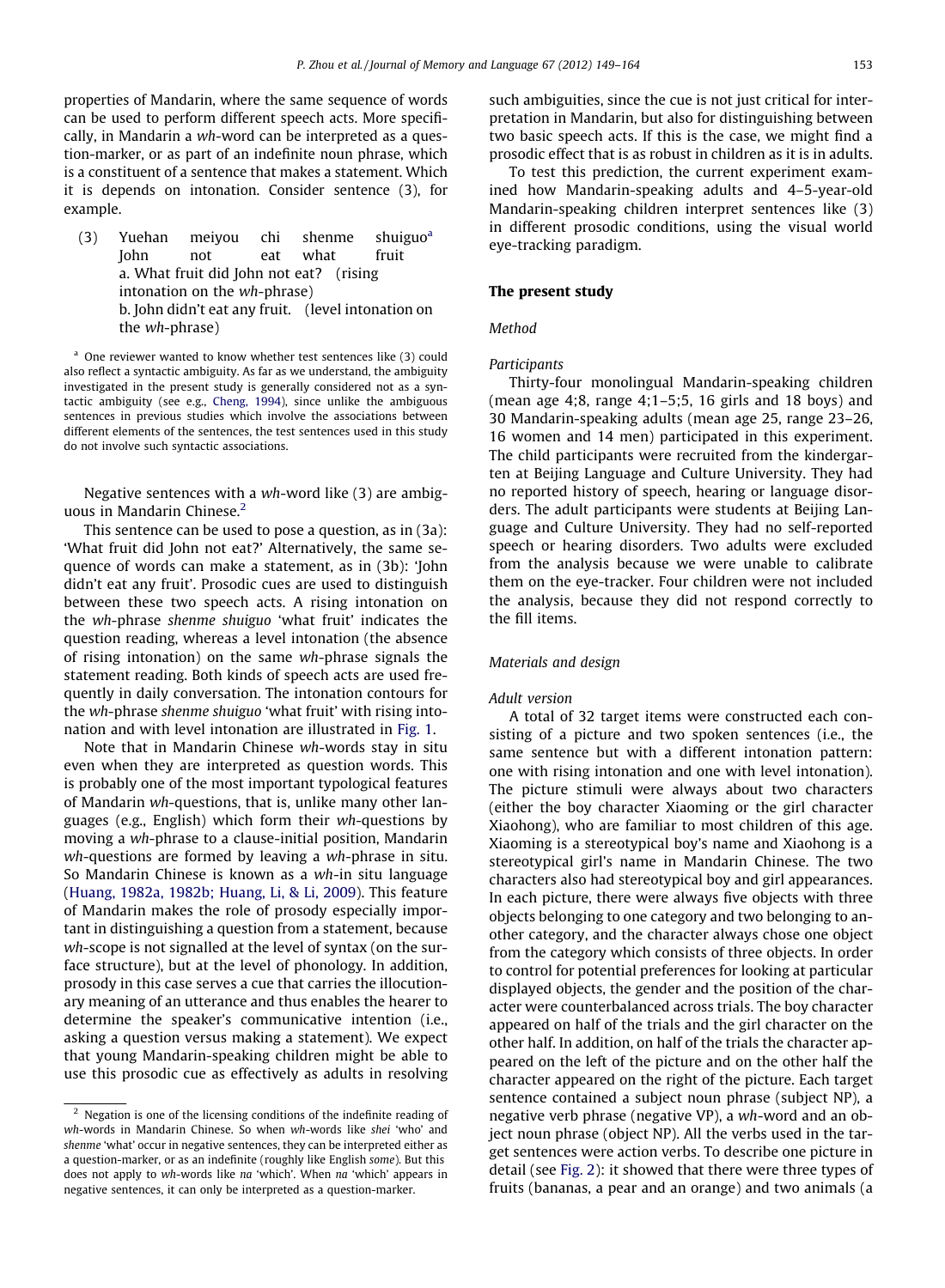properties of Mandarin, where the same sequence of words can be used to perform different speech acts. More specifically, in Mandarin a wh-word can be interpreted as a question-marker, or as part of an indefinite noun phrase, which is a constituent of a sentence that makes a statement. Which it is depends on intonation. Consider sentence (3), for example.

(3) Yuehan meiyou chi shenme shuiguo<sup>a</sup> John not eat what fruit a. What fruit did John not eat? (rising intonation on the wh-phrase) b. John didn't eat any fruit. (level intonation on the wh-phrase)

<sup>a</sup> One reviewer wanted to know whether test sentences like (3) could also reflect a syntactic ambiguity. As far as we understand, the ambiguity investigated in the present study is generally considered not as a syntactic ambiguity (see e.g., [Cheng, 1994\)](#page-14-0), since unlike the ambiguous sentences in previous studies which involve the associations between different elements of the sentences, the test sentences used in this study do not involve such syntactic associations.

Negative sentences with a wh-word like (3) are ambiguous in Mandarin Chinese.2

This sentence can be used to pose a question, as in (3a): 'What fruit did John not eat?' Alternatively, the same sequence of words can make a statement, as in (3b): 'John didn't eat any fruit'. Prosodic cues are used to distinguish between these two speech acts. A rising intonation on the wh-phrase shenme shuiguo 'what fruit' indicates the question reading, whereas a level intonation (the absence of rising intonation) on the same wh-phrase signals the statement reading. Both kinds of speech acts are used frequently in daily conversation. The intonation contours for the wh-phrase shenme shuiguo 'what fruit' with rising intonation and with level intonation are illustrated in [Fig. 1](#page-2-0).

Note that in Mandarin Chinese wh-words stay in situ even when they are interpreted as question words. This is probably one of the most important typological features of Mandarin wh-questions, that is, unlike many other languages (e.g., English) which form their wh-questions by moving a wh-phrase to a clause-initial position, Mandarin wh-questions are formed by leaving a wh-phrase in situ. So Mandarin Chinese is known as a wh-in situ language ([Huang, 1982a, 1982b; Huang, Li, & Li, 2009](#page-15-0)). This feature of Mandarin makes the role of prosody especially important in distinguishing a question from a statement, because wh-scope is not signalled at the level of syntax (on the surface structure), but at the level of phonology. In addition, prosody in this case serves a cue that carries the illocutionary meaning of an utterance and thus enables the hearer to determine the speaker's communicative intention (i.e., asking a question versus making a statement). We expect that young Mandarin-speaking children might be able to use this prosodic cue as effectively as adults in resolving such ambiguities, since the cue is not just critical for interpretation in Mandarin, but also for distinguishing between two basic speech acts. If this is the case, we might find a prosodic effect that is as robust in children as it is in adults.

To test this prediction, the current experiment examined how Mandarin-speaking adults and 4–5-year-old Mandarin-speaking children interpret sentences like (3) in different prosodic conditions, using the visual world eye-tracking paradigm.

# The present study

# Method

#### **Participants**

Thirty-four monolingual Mandarin-speaking children (mean age 4;8, range 4;1–5;5, 16 girls and 18 boys) and 30 Mandarin-speaking adults (mean age 25, range 23–26, 16 women and 14 men) participated in this experiment. The child participants were recruited from the kindergarten at Beijing Language and Culture University. They had no reported history of speech, hearing or language disorders. The adult participants were students at Beijing Language and Culture University. They had no self-reported speech or hearing disorders. Two adults were excluded from the analysis because we were unable to calibrate them on the eye-tracker. Four children were not included the analysis, because they did not respond correctly to the fill items.

## Materials and design

#### Adult version

A total of 32 target items were constructed each consisting of a picture and two spoken sentences (i.e., the same sentence but with a different intonation pattern: one with rising intonation and one with level intonation). The picture stimuli were always about two characters (either the boy character Xiaoming or the girl character Xiaohong), who are familiar to most children of this age. Xiaoming is a stereotypical boy's name and Xiaohong is a stereotypical girl's name in Mandarin Chinese. The two characters also had stereotypical boy and girl appearances. In each picture, there were always five objects with three objects belonging to one category and two belonging to another category, and the character always chose one object from the category which consists of three objects. In order to control for potential preferences for looking at particular displayed objects, the gender and the position of the character were counterbalanced across trials. The boy character appeared on half of the trials and the girl character on the other half. In addition, on half of the trials the character appeared on the left of the picture and on the other half the character appeared on the right of the picture. Each target sentence contained a subject noun phrase (subject NP), a negative verb phrase (negative VP), a wh-word and an object noun phrase (object NP). All the verbs used in the target sentences were action verbs. To describe one picture in detail (see [Fig. 2](#page-5-0)): it showed that there were three types of fruits (bananas, a pear and an orange) and two animals (a

<sup>&</sup>lt;sup>2</sup> Negation is one of the licensing conditions of the indefinite reading of wh-words in Mandarin Chinese. So when wh-words like shei 'who' and shenme 'what' occur in negative sentences, they can be interpreted either as a question-marker, or as an indefinite (roughly like English some). But this does not apply to wh-words like na 'which'. When na 'which' appears in negative sentences, it can only be interpreted as a question-marker.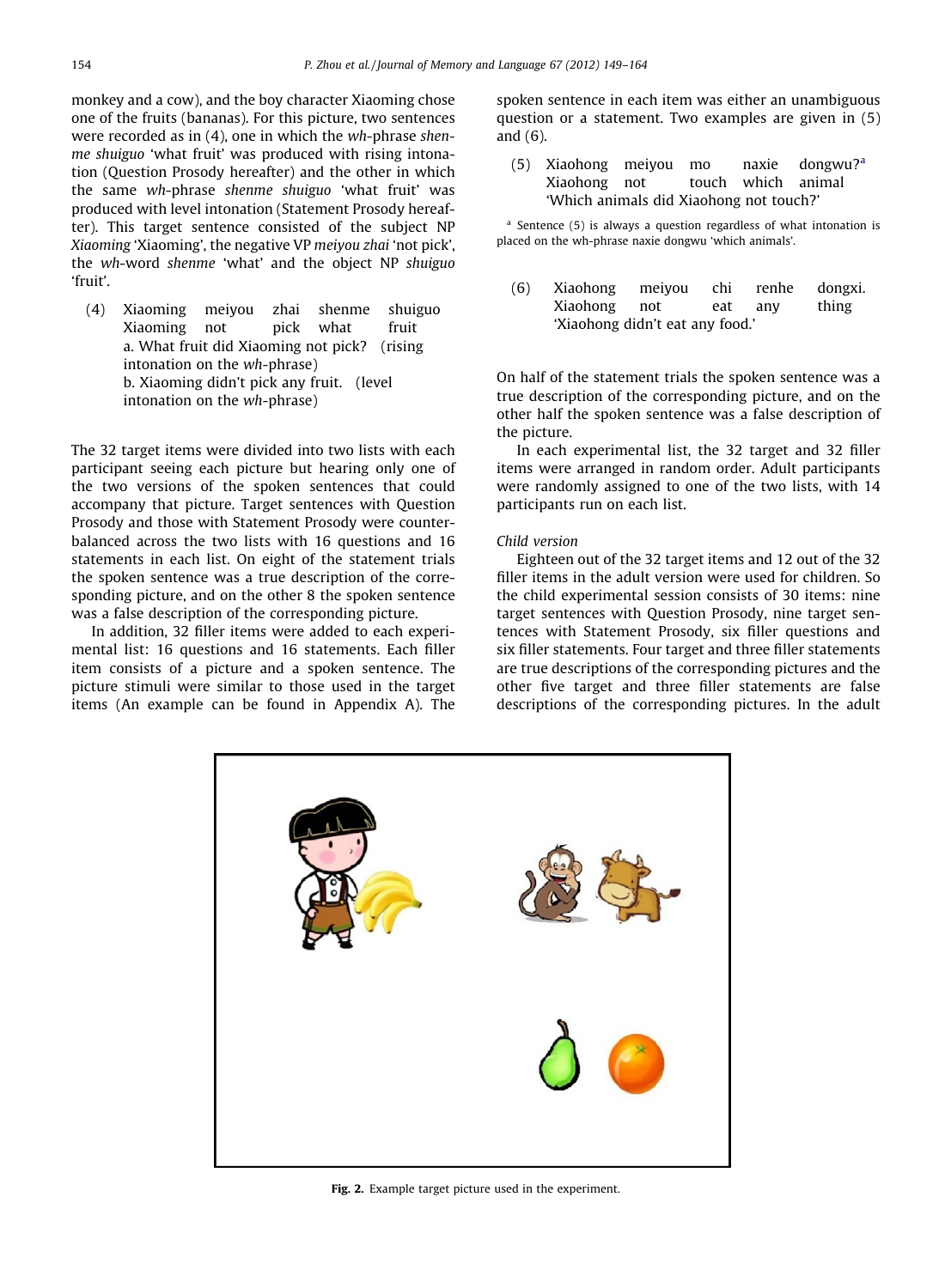<span id="page-5-0"></span>monkey and a cow), and the boy character Xiaoming chose one of the fruits (bananas). For this picture, two sentences were recorded as in (4), one in which the wh-phrase shenme shuiguo 'what fruit' was produced with rising intonation (Question Prosody hereafter) and the other in which the same wh-phrase shenme shuiguo 'what fruit' was produced with level intonation (Statement Prosody hereafter). This target sentence consisted of the subject NP Xiaoming 'Xiaoming', the negative VP meiyou zhai 'not pick', the wh-word shenme 'what' and the object NP shuiguo 'fruit'.

(4) Xiaoming meiyou zhai shenme shuiguo Xiaoming not pick what fruit a. What fruit did Xiaoming not pick? (rising intonation on the wh-phrase) b. Xiaoming didn't pick any fruit. (level intonation on the wh-phrase)

The 32 target items were divided into two lists with each participant seeing each picture but hearing only one of the two versions of the spoken sentences that could accompany that picture. Target sentences with Question Prosody and those with Statement Prosody were counterbalanced across the two lists with 16 questions and 16 statements in each list. On eight of the statement trials the spoken sentence was a true description of the corresponding picture, and on the other 8 the spoken sentence was a false description of the corresponding picture.

In addition, 32 filler items were added to each experimental list: 16 questions and 16 statements. Each filler item consists of a picture and a spoken sentence. The picture stimuli were similar to those used in the target items (An example can be found in Appendix A). The

spoken sentence in each item was either an unambiguous question or a statement. Two examples are given in (5) and (6).

(5) Xiaohong meiyou mo naxie dongwu?a Xiaohong not touch which animal 'Which animals did Xiaohong not touch?'

 $a$  Sentence (5) is always a question regardless of what intonation is placed on the wh-phrase naxie dongwu 'which animals'.

(6) Xiaohong meiyou chi renhe dongxi. Xiaohong not eat any thing 'Xiaohong didn't eat any food.'

On half of the statement trials the spoken sentence was a true description of the corresponding picture, and on the other half the spoken sentence was a false description of the picture.

In each experimental list, the 32 target and 32 filler items were arranged in random order. Adult participants were randomly assigned to one of the two lists, with 14 participants run on each list.

# Child version

Eighteen out of the 32 target items and 12 out of the 32 filler items in the adult version were used for children. So the child experimental session consists of 30 items: nine target sentences with Question Prosody, nine target sentences with Statement Prosody, six filler questions and six filler statements. Four target and three filler statements are true descriptions of the corresponding pictures and the other five target and three filler statements are false descriptions of the corresponding pictures. In the adult



Fig. 2. Example target picture used in the experiment.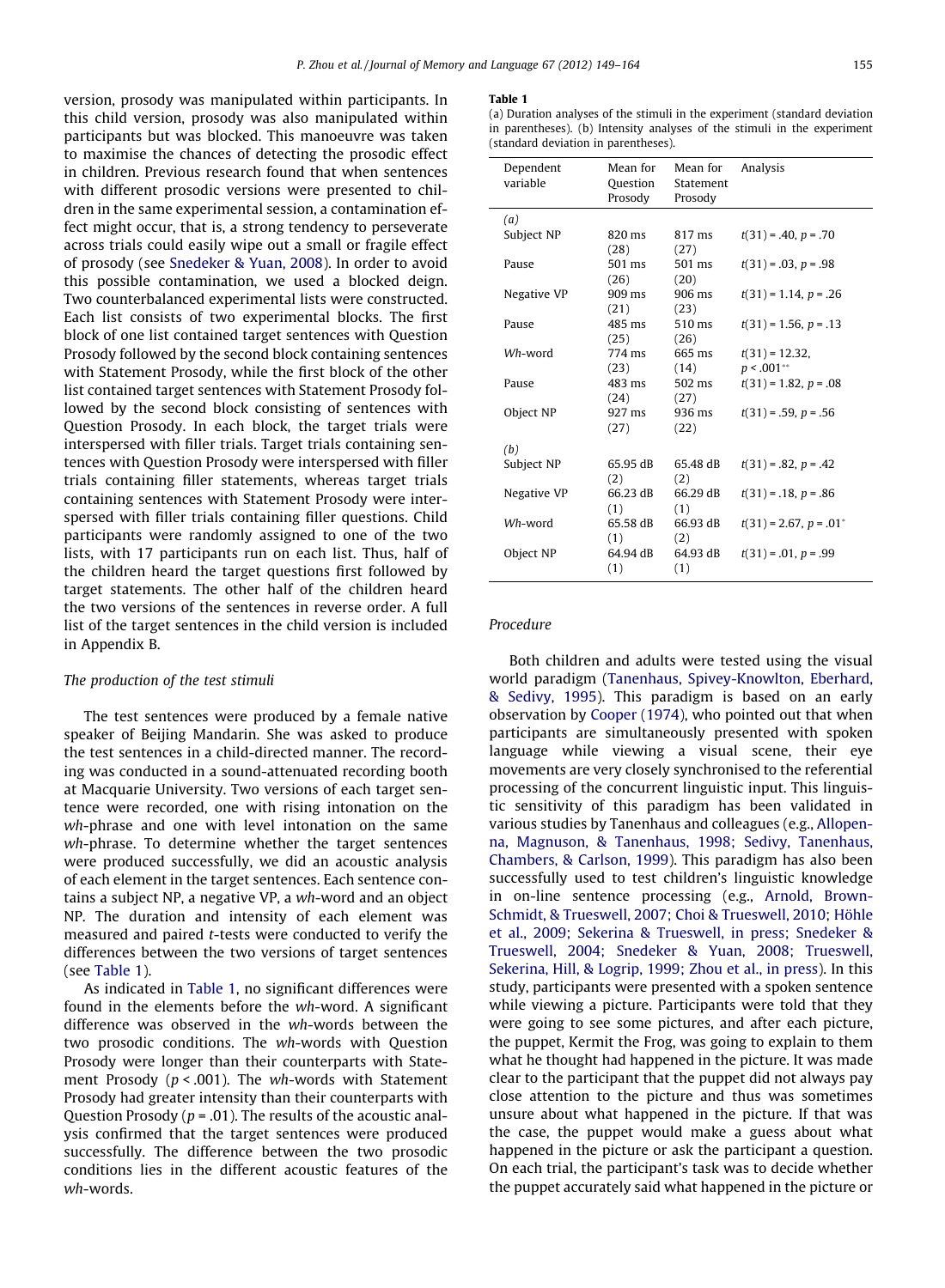version, prosody was manipulated within participants. In this child version, prosody was also manipulated within participants but was blocked. This manoeuvre was taken to maximise the chances of detecting the prosodic effect in children. Previous research found that when sentences with different prosodic versions were presented to children in the same experimental session, a contamination effect might occur, that is, a strong tendency to perseverate across trials could easily wipe out a small or fragile effect of prosody (see [Snedeker & Yuan, 2008](#page-15-0)). In order to avoid this possible contamination, we used a blocked deign. Two counterbalanced experimental lists were constructed. Each list consists of two experimental blocks. The first block of one list contained target sentences with Question Prosody followed by the second block containing sentences with Statement Prosody, while the first block of the other list contained target sentences with Statement Prosody followed by the second block consisting of sentences with Question Prosody. In each block, the target trials were interspersed with filler trials. Target trials containing sentences with Question Prosody were interspersed with filler trials containing filler statements, whereas target trials containing sentences with Statement Prosody were interspersed with filler trials containing filler questions. Child participants were randomly assigned to one of the two lists, with 17 participants run on each list. Thus, half of the children heard the target questions first followed by target statements. The other half of the children heard the two versions of the sentences in reverse order. A full list of the target sentences in the child version is included in Appendix B.

#### The production of the test stimuli

The test sentences were produced by a female native speaker of Beijing Mandarin. She was asked to produce the test sentences in a child-directed manner. The recording was conducted in a sound-attenuated recording booth at Macquarie University. Two versions of each target sentence were recorded, one with rising intonation on the wh-phrase and one with level intonation on the same wh-phrase. To determine whether the target sentences were produced successfully, we did an acoustic analysis of each element in the target sentences. Each sentence contains a subject NP, a negative VP, a wh-word and an object NP. The duration and intensity of each element was measured and paired t-tests were conducted to verify the differences between the two versions of target sentences (see Table 1).

As indicated in Table 1, no significant differences were found in the elements before the wh-word. A significant difference was observed in the wh-words between the two prosodic conditions. The wh-words with Question Prosody were longer than their counterparts with Statement Prosody ( $p < .001$ ). The wh-words with Statement Prosody had greater intensity than their counterparts with Question Prosody ( $p = .01$ ). The results of the acoustic analysis confirmed that the target sentences were produced successfully. The difference between the two prosodic conditions lies in the different acoustic features of the wh-words.

#### Table 1

(a) Duration analyses of the stimuli in the experiment (standard deviation in parentheses). (b) Intensity analyses of the stimuli in the experiment (standard deviation in parentheses).

| Dependent<br>variable | Mean for<br>Ouestion | Mean for<br>Statement | Analysis                     |
|-----------------------|----------------------|-----------------------|------------------------------|
|                       | Prosody              | Prosody               |                              |
| (a)                   |                      |                       |                              |
| Subject NP            | 820 ms               | 817 ms                | $t(31) = .40, p = .70$       |
|                       | (28)                 | (27)                  |                              |
| Pause                 | 501 ms               | 501 ms                | $t(31) = .03, p = .98$       |
|                       | (26)                 | (20)                  |                              |
| Negative VP           | $909 \text{ ms}$     | 906 ms                | $t(31) = 1.14$ , $p = .26$   |
|                       | (21)                 | (23)                  |                              |
| Pause                 | 485 ms               | 510 ms                | $t(31) = 1.56, p = .13$      |
|                       | (25)                 | (26)                  |                              |
| Wh-word               | 774 ms               | 665 ms                | $t(31) = 12.32$              |
|                       | (23)                 | (14)                  | $p < .001**$                 |
| Pause                 | 483 ms               | 502 ms                | $t(31) = 1.82, p = .08$      |
|                       | (24)                 | (27)                  |                              |
| Object NP             | 927 ms               | 936 ms                | $t(31) = .59, p = .56$       |
|                       | (27)                 | (22)                  |                              |
| (b)                   |                      |                       |                              |
| Subject NP            | 65.95 dB             | 65.48 dB              | $t(31) = .82, p = .42$       |
|                       | (2)                  | (2)                   |                              |
| Negative VP           | 66.23 dB             | 66.29 dB              | $t(31) = .18, p = .86$       |
|                       | (1)                  | (1)                   |                              |
| Wh-word               | 65.58 dB             | 66.93 dB              | $t(31) = 2.67$ , $p = .01^*$ |
|                       | (1)                  | (2)                   |                              |
| Object NP             | 64.94 dB             | 64.93 dB              | $t(31) = .01, p = .99$       |
|                       | (1)                  | (1)                   |                              |

#### Procedure

Both children and adults were tested using the visual world paradigm [\(Tanenhaus, Spivey-Knowlton, Eberhard,](#page-15-0) [& Sedivy, 1995\)](#page-15-0). This paradigm is based on an early observation by [Cooper \(1974\),](#page-15-0) who pointed out that when participants are simultaneously presented with spoken language while viewing a visual scene, their eye movements are very closely synchronised to the referential processing of the concurrent linguistic input. This linguistic sensitivity of this paradigm has been validated in various studies by Tanenhaus and colleagues (e.g., [Allopen](#page-14-0)[na, Magnuson, & Tanenhaus, 1998; Sedivy, Tanenhaus,](#page-14-0) [Chambers, & Carlson, 1999](#page-14-0)). This paradigm has also been successfully used to test children's linguistic knowledge in on-line sentence processing (e.g., [Arnold, Brown-](#page-14-0)[Schmidt, & Trueswell, 2007; Choi & Trueswell, 2010; Höhle](#page-14-0) [et al., 2009; Sekerina & Trueswell, in press; Snedeker &](#page-14-0) [Trueswell, 2004; Snedeker & Yuan, 2008; Trueswell,](#page-14-0) [Sekerina, Hill, & Logrip, 1999; Zhou et al., in press\)](#page-14-0). In this study, participants were presented with a spoken sentence while viewing a picture. Participants were told that they were going to see some pictures, and after each picture, the puppet, Kermit the Frog, was going to explain to them what he thought had happened in the picture. It was made clear to the participant that the puppet did not always pay close attention to the picture and thus was sometimes unsure about what happened in the picture. If that was the case, the puppet would make a guess about what happened in the picture or ask the participant a question. On each trial, the participant's task was to decide whether the puppet accurately said what happened in the picture or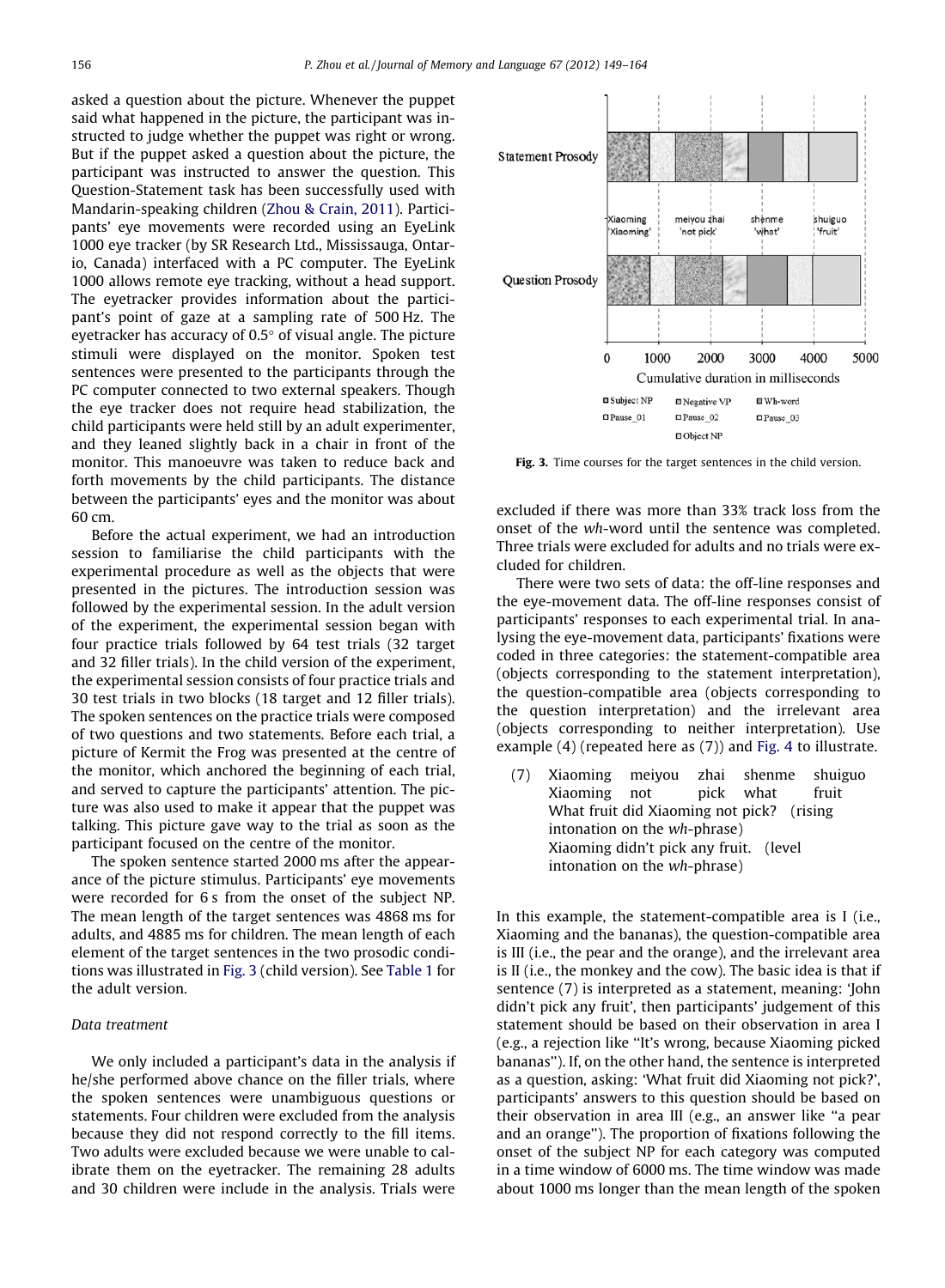asked a question about the picture. Whenever the puppet said what happened in the picture, the participant was instructed to judge whether the puppet was right or wrong. But if the puppet asked a question about the picture, the participant was instructed to answer the question. This Question-Statement task has been successfully used with Mandarin-speaking children ([Zhou & Crain, 2011](#page-15-0)). Participants' eye movements were recorded using an EyeLink 1000 eye tracker (by SR Research Ltd., Mississauga, Ontario, Canada) interfaced with a PC computer. The EyeLink 1000 allows remote eye tracking, without a head support. The eyetracker provides information about the participant's point of gaze at a sampling rate of 500 Hz. The eyetracker has accuracy of  $0.5^{\circ}$  of visual angle. The picture stimuli were displayed on the monitor. Spoken test sentences were presented to the participants through the PC computer connected to two external speakers. Though the eye tracker does not require head stabilization, the child participants were held still by an adult experimenter, and they leaned slightly back in a chair in front of the monitor. This manoeuvre was taken to reduce back and forth movements by the child participants. The distance between the participants' eyes and the monitor was about 60 cm.

Before the actual experiment, we had an introduction session to familiarise the child participants with the experimental procedure as well as the objects that were presented in the pictures. The introduction session was followed by the experimental session. In the adult version of the experiment, the experimental session began with four practice trials followed by 64 test trials (32 target and 32 filler trials). In the child version of the experiment, the experimental session consists of four practice trials and 30 test trials in two blocks (18 target and 12 filler trials). The spoken sentences on the practice trials were composed of two questions and two statements. Before each trial, a picture of Kermit the Frog was presented at the centre of the monitor, which anchored the beginning of each trial, and served to capture the participants' attention. The picture was also used to make it appear that the puppet was talking. This picture gave way to the trial as soon as the participant focused on the centre of the monitor.

The spoken sentence started 2000 ms after the appearance of the picture stimulus. Participants' eye movements were recorded for 6 s from the onset of the subject NP. The mean length of the target sentences was 4868 ms for adults, and 4885 ms for children. The mean length of each element of the target sentences in the two prosodic conditions was illustrated in Fig. 3 (child version). See Table 1 for the adult version.

#### Data treatment

We only included a participant's data in the analysis if he/she performed above chance on the filler trials, where the spoken sentences were unambiguous questions or statements. Four children were excluded from the analysis because they did not respond correctly to the fill items. Two adults were excluded because we were unable to calibrate them on the eyetracker. The remaining 28 adults and 30 children were include in the analysis. Trials were



Fig. 3. Time courses for the target sentences in the child version.

excluded if there was more than 33% track loss from the onset of the wh-word until the sentence was completed. Three trials were excluded for adults and no trials were excluded for children.

There were two sets of data: the off-line responses and the eye-movement data. The off-line responses consist of participants' responses to each experimental trial. In analysing the eye-movement data, participants' fixations were coded in three categories: the statement-compatible area (objects corresponding to the statement interpretation), the question-compatible area (objects corresponding to the question interpretation) and the irrelevant area (objects corresponding to neither interpretation). Use example (4) (repeated here as (7)) and [Fig. 4](#page-8-0) to illustrate.

(7) Xiaoming meiyou zhai shenme shuiguo Xiaoming not pick what fruit What fruit did Xiaoming not pick? (rising intonation on the wh-phrase) Xiaoming didn't pick any fruit. (level intonation on the wh-phrase)

In this example, the statement-compatible area is I (i.e., Xiaoming and the bananas), the question-compatible area is III (i.e., the pear and the orange), and the irrelevant area is II (i.e., the monkey and the cow). The basic idea is that if sentence (7) is interpreted as a statement, meaning: 'John didn't pick any fruit', then participants' judgement of this statement should be based on their observation in area I (e.g., a rejection like ''It's wrong, because Xiaoming picked bananas''). If, on the other hand, the sentence is interpreted as a question, asking: 'What fruit did Xiaoming not pick?', participants' answers to this question should be based on their observation in area III (e.g., an answer like ''a pear and an orange''). The proportion of fixations following the onset of the subject NP for each category was computed in a time window of 6000 ms. The time window was made about 1000 ms longer than the mean length of the spoken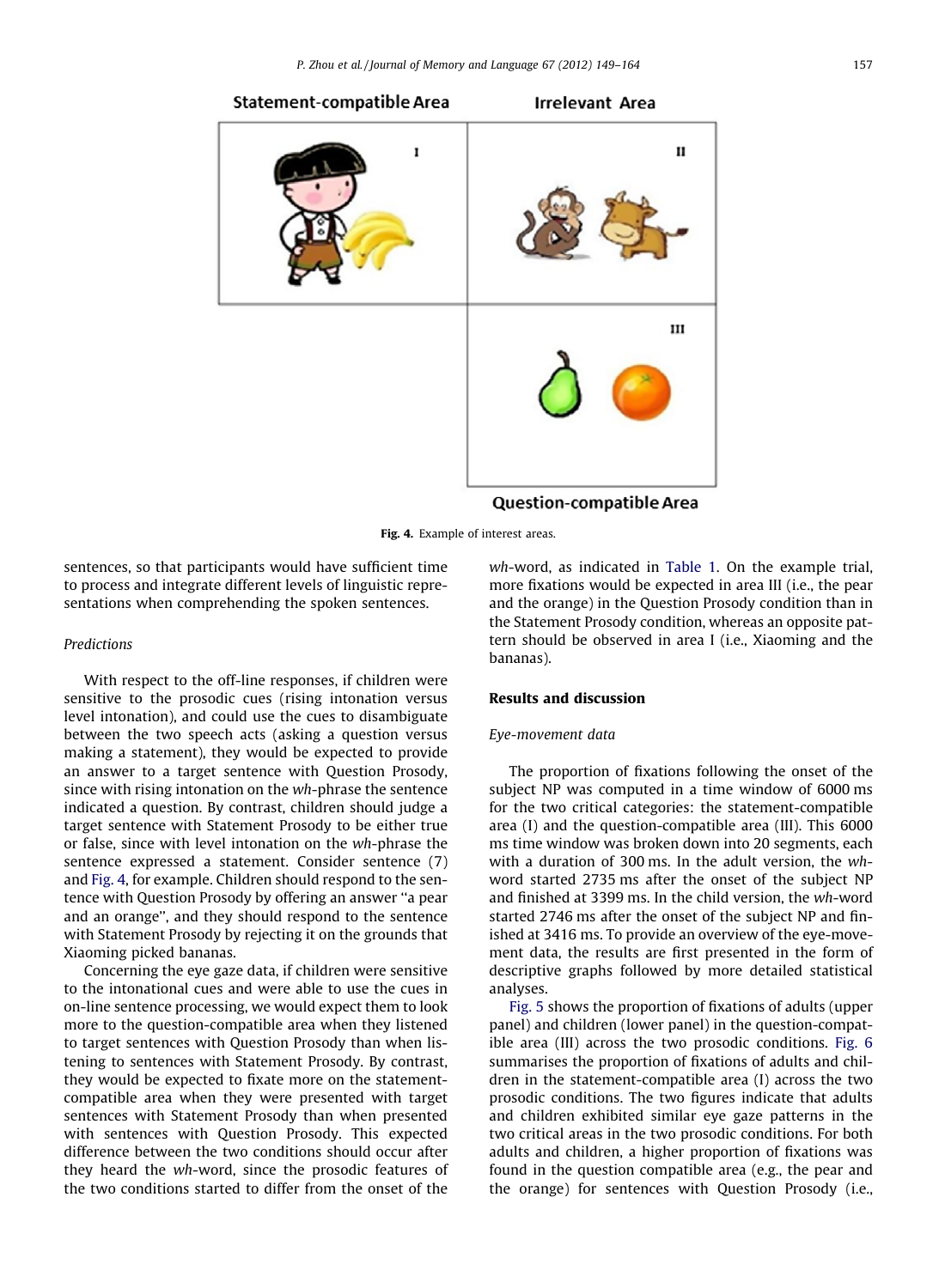<span id="page-8-0"></span>

Question-compatible Area

Fig. 4. Example of interest areas.

sentences, so that participants would have sufficient time to process and integrate different levels of linguistic representations when comprehending the spoken sentences.

#### Predictions

With respect to the off-line responses, if children were sensitive to the prosodic cues (rising intonation versus level intonation), and could use the cues to disambiguate between the two speech acts (asking a question versus making a statement), they would be expected to provide an answer to a target sentence with Question Prosody, since with rising intonation on the wh-phrase the sentence indicated a question. By contrast, children should judge a target sentence with Statement Prosody to be either true or false, since with level intonation on the wh-phrase the sentence expressed a statement. Consider sentence (7) and Fig. 4, for example. Children should respond to the sentence with Question Prosody by offering an answer ''a pear and an orange'', and they should respond to the sentence with Statement Prosody by rejecting it on the grounds that Xiaoming picked bananas.

Concerning the eye gaze data, if children were sensitive to the intonational cues and were able to use the cues in on-line sentence processing, we would expect them to look more to the question-compatible area when they listened to target sentences with Question Prosody than when listening to sentences with Statement Prosody. By contrast, they would be expected to fixate more on the statementcompatible area when they were presented with target sentences with Statement Prosody than when presented with sentences with Question Prosody. This expected difference between the two conditions should occur after they heard the wh-word, since the prosodic features of the two conditions started to differ from the onset of the

wh-word, as indicated in Table 1. On the example trial, more fixations would be expected in area III (i.e., the pear and the orange) in the Question Prosody condition than in the Statement Prosody condition, whereas an opposite pattern should be observed in area I (i.e., Xiaoming and the bananas).

#### Results and discussion

# Eye-movement data

The proportion of fixations following the onset of the subject NP was computed in a time window of 6000 ms for the two critical categories: the statement-compatible area (I) and the question-compatible area (III). This 6000 ms time window was broken down into 20 segments, each with a duration of 300 ms. In the adult version, the whword started 2735 ms after the onset of the subject NP and finished at 3399 ms. In the child version, the wh-word started 2746 ms after the onset of the subject NP and finished at 3416 ms. To provide an overview of the eye-movement data, the results are first presented in the form of descriptive graphs followed by more detailed statistical analyses.

[Fig. 5](#page-9-0) shows the proportion of fixations of adults (upper panel) and children (lower panel) in the question-compatible area (III) across the two prosodic conditions. [Fig. 6](#page-9-0) summarises the proportion of fixations of adults and children in the statement-compatible area (I) across the two prosodic conditions. The two figures indicate that adults and children exhibited similar eye gaze patterns in the two critical areas in the two prosodic conditions. For both adults and children, a higher proportion of fixations was found in the question compatible area (e.g., the pear and the orange) for sentences with Question Prosody (i.e.,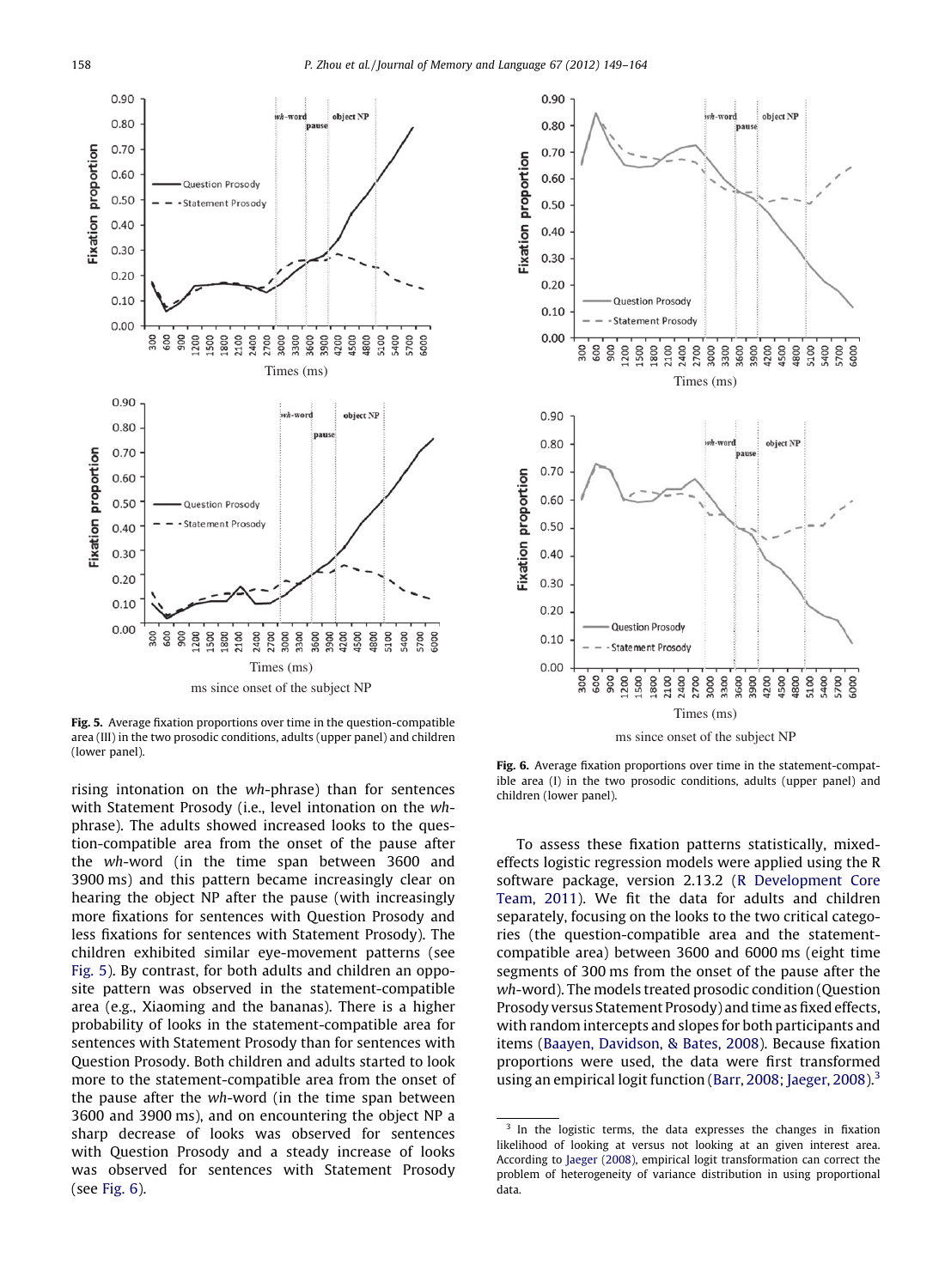<span id="page-9-0"></span>

Fig. 5. Average fixation proportions over time in the question-compatible area (III) in the two prosodic conditions, adults (upper panel) and children (lower panel).

rising intonation on the wh-phrase) than for sentences with Statement Prosody (i.e., level intonation on the whphrase). The adults showed increased looks to the question-compatible area from the onset of the pause after the wh-word (in the time span between 3600 and 3900 ms) and this pattern became increasingly clear on hearing the object NP after the pause (with increasingly more fixations for sentences with Question Prosody and less fixations for sentences with Statement Prosody). The children exhibited similar eye-movement patterns (see Fig. 5). By contrast, for both adults and children an opposite pattern was observed in the statement-compatible area (e.g., Xiaoming and the bananas). There is a higher probability of looks in the statement-compatible area for sentences with Statement Prosody than for sentences with Question Prosody. Both children and adults started to look more to the statement-compatible area from the onset of the pause after the wh-word (in the time span between 3600 and 3900 ms), and on encountering the object NP a sharp decrease of looks was observed for sentences with Question Prosody and a steady increase of looks was observed for sentences with Statement Prosody (see Fig. 6).



Fig. 6. Average fixation proportions over time in the statement-compatible area (I) in the two prosodic conditions, adults (upper panel) and children (lower panel).

To assess these fixation patterns statistically, mixedeffects logistic regression models were applied using the R software package, version 2.13.2 ([R Development Core](#page-15-0) [Team, 2011\)](#page-15-0). We fit the data for adults and children separately, focusing on the looks to the two critical categories (the question-compatible area and the statementcompatible area) between 3600 and 6000 ms (eight time segments of 300 ms from the onset of the pause after the wh-word). The models treated prosodic condition (Question Prosody versus Statement Prosody) and time as fixed effects, with random intercepts and slopes for both participants and items [\(Baayen, Davidson, & Bates, 2008](#page-14-0)). Because fixation proportions were used, the data were first transformed using an empirical logit function ([Barr, 2008; Jaeger, 2008](#page-14-0)).<sup>3</sup>

<sup>&</sup>lt;sup>3</sup> In the logistic terms, the data expresses the changes in fixation likelihood of looking at versus not looking at an given interest area. According to [Jaeger \(2008\)](#page-15-0), empirical logit transformation can correct the problem of heterogeneity of variance distribution in using proportional data.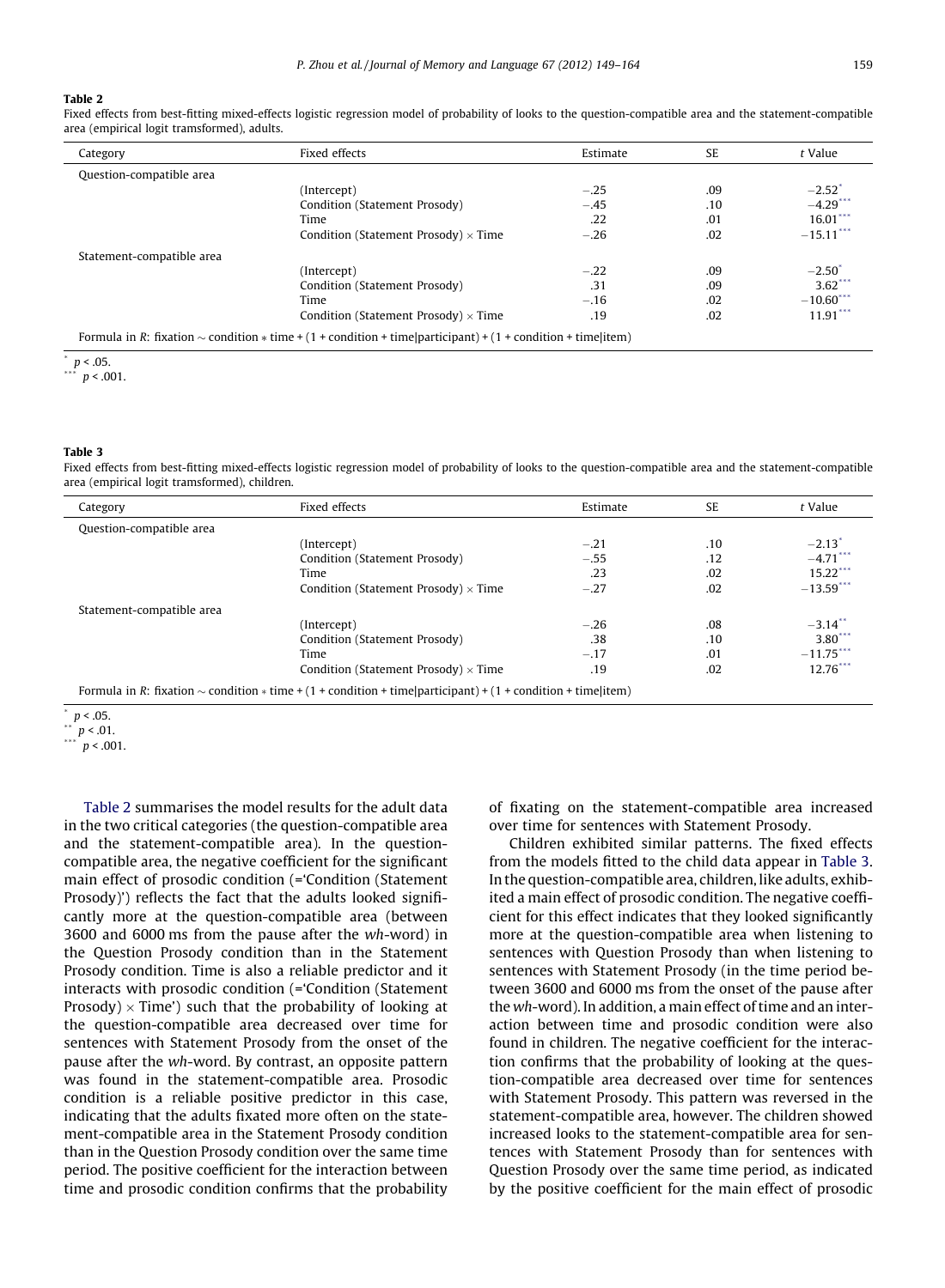#### Table 2

Fixed effects from best-fitting mixed-effects logistic regression model of probability of looks to the question-compatible area and the statement-compatible area (empirical logit tramsformed), adults.

| Category                                                                                                                   | Fixed effects                               | Estimate | <b>SE</b> | t Value                 |  |
|----------------------------------------------------------------------------------------------------------------------------|---------------------------------------------|----------|-----------|-------------------------|--|
| Question-compatible area                                                                                                   |                                             |          |           |                         |  |
|                                                                                                                            | (Intercept)                                 | $-.25$   | .09       | $-2.52$ <sup>*</sup>    |  |
|                                                                                                                            | Condition (Statement Prosody)               | $-.45$   | .10       | $-4.29$ <sup>***</sup>  |  |
|                                                                                                                            | Time                                        | .22      | .01       | $16.01$ ***             |  |
|                                                                                                                            | Condition (Statement Prosody) $\times$ Time | $-.26$   | .02       | $-15.11$ ***            |  |
| Statement-compatible area                                                                                                  |                                             |          |           |                         |  |
|                                                                                                                            | (Intercept)                                 | $-.22$   | .09       | $-2.50^*$               |  |
|                                                                                                                            | Condition (Statement Prosody)               | .31      | .09       | $3.62$ ***              |  |
|                                                                                                                            | Time                                        | $-.16$   | .02       | $-10.60$ <sup>***</sup> |  |
|                                                                                                                            | Condition (Statement Prosody) $\times$ Time | .19      | .02       | $11.91$ <sup>***</sup>  |  |
| Formula in R: fixation $\sim$ condition $*$ time $+(1 +$ condition $+$ time participant) $+(1 +$ condition $+$ time litem) |                                             |          |           |                         |  |

 $p < .05$ .

 $p < .001$ .

#### Table 3

Fixed effects from best-fitting mixed-effects logistic regression model of probability of looks to the question-compatible area and the statement-compatible area (empirical logit tramsformed), children.

| Category                                                                                                                   | Fixed effects                               | Estimate | <b>SE</b> | t Value                 |  |
|----------------------------------------------------------------------------------------------------------------------------|---------------------------------------------|----------|-----------|-------------------------|--|
| Question-compatible area                                                                                                   |                                             |          |           |                         |  |
|                                                                                                                            | (Intercept)                                 | $-.21$   | .10       | $-2.13$ <sup>*</sup>    |  |
|                                                                                                                            | Condition (Statement Prosody)               | $-.55$   | .12       | $-4.71$ ***             |  |
|                                                                                                                            | Time                                        | .23      | .02       | $15.22$ <sup>****</sup> |  |
|                                                                                                                            | Condition (Statement Prosody) $\times$ Time | $-.27$   | .02       | $-13.59$ ***            |  |
| Statement-compatible area                                                                                                  |                                             |          |           |                         |  |
|                                                                                                                            | (Intercept)                                 | $-.26$   | .08       | $-3.14$ <sup>**</sup>   |  |
|                                                                                                                            | Condition (Statement Prosody)               | .38      | .10       | $3.80***$               |  |
|                                                                                                                            | Time                                        | $-.17$   | .01       | $-11.75$ ***            |  |
|                                                                                                                            | Condition (Statement Prosody) $\times$ Time | .19      | .02       | $12.76***$              |  |
| Formula in R: fixation $\sim$ condition $*$ time $+(1 +$ condition $+$ time participant) $+(1 +$ condition $+$ time litem) |                                             |          |           |                         |  |

 $p < .05$ .

.co.<br> $p < 01$ .

 $p < .001$ .

Table 2 summarises the model results for the adult data in the two critical categories (the question-compatible area and the statement-compatible area). In the questioncompatible area, the negative coefficient for the significant main effect of prosodic condition (='Condition (Statement Prosody)') reflects the fact that the adults looked significantly more at the question-compatible area (between 3600 and 6000 ms from the pause after the wh-word) in the Question Prosody condition than in the Statement Prosody condition. Time is also a reliable predictor and it interacts with prosodic condition (='Condition (Statement Prosody)  $\times$  Time') such that the probability of looking at the question-compatible area decreased over time for sentences with Statement Prosody from the onset of the pause after the wh-word. By contrast, an opposite pattern was found in the statement-compatible area. Prosodic condition is a reliable positive predictor in this case, indicating that the adults fixated more often on the statement-compatible area in the Statement Prosody condition than in the Question Prosody condition over the same time period. The positive coefficient for the interaction between time and prosodic condition confirms that the probability of fixating on the statement-compatible area increased over time for sentences with Statement Prosody.

Children exhibited similar patterns. The fixed effects from the models fitted to the child data appear in Table 3. In the question-compatible area, children, like adults, exhibited a main effect of prosodic condition. The negative coefficient for this effect indicates that they looked significantly more at the question-compatible area when listening to sentences with Question Prosody than when listening to sentences with Statement Prosody (in the time period between 3600 and 6000 ms from the onset of the pause after the wh-word). In addition, a main effect of time and an interaction between time and prosodic condition were also found in children. The negative coefficient for the interaction confirms that the probability of looking at the question-compatible area decreased over time for sentences with Statement Prosody. This pattern was reversed in the statement-compatible area, however. The children showed increased looks to the statement-compatible area for sentences with Statement Prosody than for sentences with Question Prosody over the same time period, as indicated by the positive coefficient for the main effect of prosodic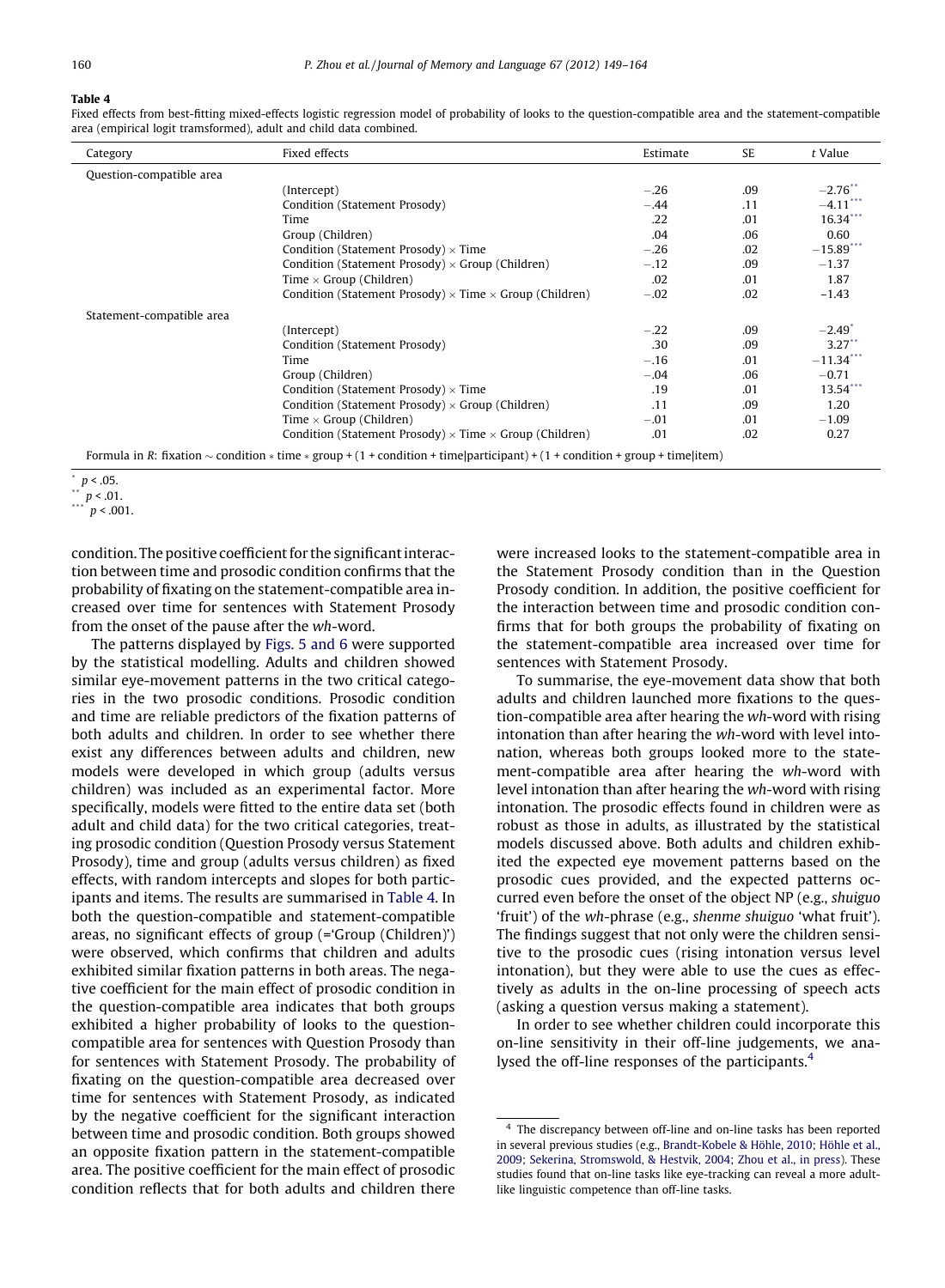# Table 4

Fixed effects from best-fitting mixed-effects logistic regression model of probability of looks to the question-compatible area and the statement-compatible area (empirical logit tramsformed), adult and child data combined.

| Category                                                                                                                                       | Fixed effects                                                         | Estimate | <b>SE</b> | t Value              |  |
|------------------------------------------------------------------------------------------------------------------------------------------------|-----------------------------------------------------------------------|----------|-----------|----------------------|--|
| Question-compatible area                                                                                                                       |                                                                       |          |           |                      |  |
|                                                                                                                                                | (Intercept)                                                           | $-.26$   | .09       | $-2.76$              |  |
|                                                                                                                                                | Condition (Statement Prosody)                                         | $-.44$   | .11       | $-4.11$ ***          |  |
|                                                                                                                                                | Time                                                                  | .22      | .01       | $16.34$ ***          |  |
|                                                                                                                                                | Group (Children)                                                      | .04      | .06       | 0.60                 |  |
|                                                                                                                                                | Condition (Statement Prosody) $\times$ Time                           | $-.26$   | .02       | $-15.89***$          |  |
|                                                                                                                                                | Condition (Statement Prosody) $\times$ Group (Children)               | $-.12$   | .09       | $-1.37$              |  |
|                                                                                                                                                | Time $\times$ Group (Children)                                        | .02      | .01       | 1.87                 |  |
|                                                                                                                                                | Condition (Statement Prosody) $\times$ Time $\times$ Group (Children) | $-.02$   | .02       | $-1.43$              |  |
| Statement-compatible area                                                                                                                      |                                                                       |          |           |                      |  |
|                                                                                                                                                | (Intercept)                                                           | $-.22$   | .09       | $-2.49$ <sup>*</sup> |  |
|                                                                                                                                                | Condition (Statement Prosody)                                         | .30      | .09       | $3.27$ **            |  |
|                                                                                                                                                | Time                                                                  | $-.16$   | .01       | $-11.34$ ***         |  |
|                                                                                                                                                | Group (Children)                                                      | $-.04$   | .06       | $-0.71$              |  |
|                                                                                                                                                | Condition (Statement Prosody) $\times$ Time                           | .19      | .01       | $13.54$ ***          |  |
|                                                                                                                                                | Condition (Statement Prosody) $\times$ Group (Children)               | .11      | .09       | 1.20                 |  |
|                                                                                                                                                | Time $\times$ Group (Children)                                        | $-.01$   | .01       | $-1.09$              |  |
|                                                                                                                                                | Condition (Statement Prosody) $\times$ Time $\times$ Group (Children) | .01      | .02       | 0.27                 |  |
| Formula in R: fixation $\sim$ condition $*$ time $*$ group $+(1 +$ condition $+$ time participant) $+(1 +$ condition $+$ group $+$ time litem) |                                                                       |          |           |                      |  |

 $p < .05$ .

condition. The positive coefficient for the significant interaction between time and prosodic condition confirms that the probability of fixating on the statement-compatible area increased over time for sentences with Statement Prosody

from the onset of the pause after the wh-word. The patterns displayed by [Figs. 5 and 6](#page-9-0) were supported by the statistical modelling. Adults and children showed similar eye-movement patterns in the two critical categories in the two prosodic conditions. Prosodic condition and time are reliable predictors of the fixation patterns of both adults and children. In order to see whether there exist any differences between adults and children, new models were developed in which group (adults versus children) was included as an experimental factor. More specifically, models were fitted to the entire data set (both adult and child data) for the two critical categories, treating prosodic condition (Question Prosody versus Statement Prosody), time and group (adults versus children) as fixed effects, with random intercepts and slopes for both participants and items. The results are summarised in Table 4. In both the question-compatible and statement-compatible areas, no significant effects of group (='Group (Children)') were observed, which confirms that children and adults exhibited similar fixation patterns in both areas. The negative coefficient for the main effect of prosodic condition in the question-compatible area indicates that both groups exhibited a higher probability of looks to the questioncompatible area for sentences with Question Prosody than for sentences with Statement Prosody. The probability of fixating on the question-compatible area decreased over time for sentences with Statement Prosody, as indicated by the negative coefficient for the significant interaction between time and prosodic condition. Both groups showed an opposite fixation pattern in the statement-compatible area. The positive coefficient for the main effect of prosodic condition reflects that for both adults and children there

were increased looks to the statement-compatible area in the Statement Prosody condition than in the Question Prosody condition. In addition, the positive coefficient for the interaction between time and prosodic condition confirms that for both groups the probability of fixating on the statement-compatible area increased over time for sentences with Statement Prosody.

To summarise, the eye-movement data show that both adults and children launched more fixations to the question-compatible area after hearing the wh-word with rising intonation than after hearing the wh-word with level intonation, whereas both groups looked more to the statement-compatible area after hearing the wh-word with level intonation than after hearing the wh-word with rising intonation. The prosodic effects found in children were as robust as those in adults, as illustrated by the statistical models discussed above. Both adults and children exhibited the expected eye movement patterns based on the prosodic cues provided, and the expected patterns occurred even before the onset of the object NP (e.g., shuiguo 'fruit') of the wh-phrase (e.g., shenme shuiguo 'what fruit'). The findings suggest that not only were the children sensitive to the prosodic cues (rising intonation versus level intonation), but they were able to use the cues as effectively as adults in the on-line processing of speech acts (asking a question versus making a statement).

In order to see whether children could incorporate this on-line sensitivity in their off-line judgements, we analysed the off-line responses of the participants.<sup>4</sup>

 $p < .01$ .

 $p < .001$ .

<sup>4</sup> The discrepancy between off-line and on-line tasks has been reported in several previous studies (e.g., [Brandt-Kobele & Höhle, 2010; Höhle et al.,](#page-14-0) [2009; Sekerina, Stromswold, & Hestvik, 2004; Zhou et al., in press](#page-14-0)). These studies found that on-line tasks like eye-tracking can reveal a more adultlike linguistic competence than off-line tasks.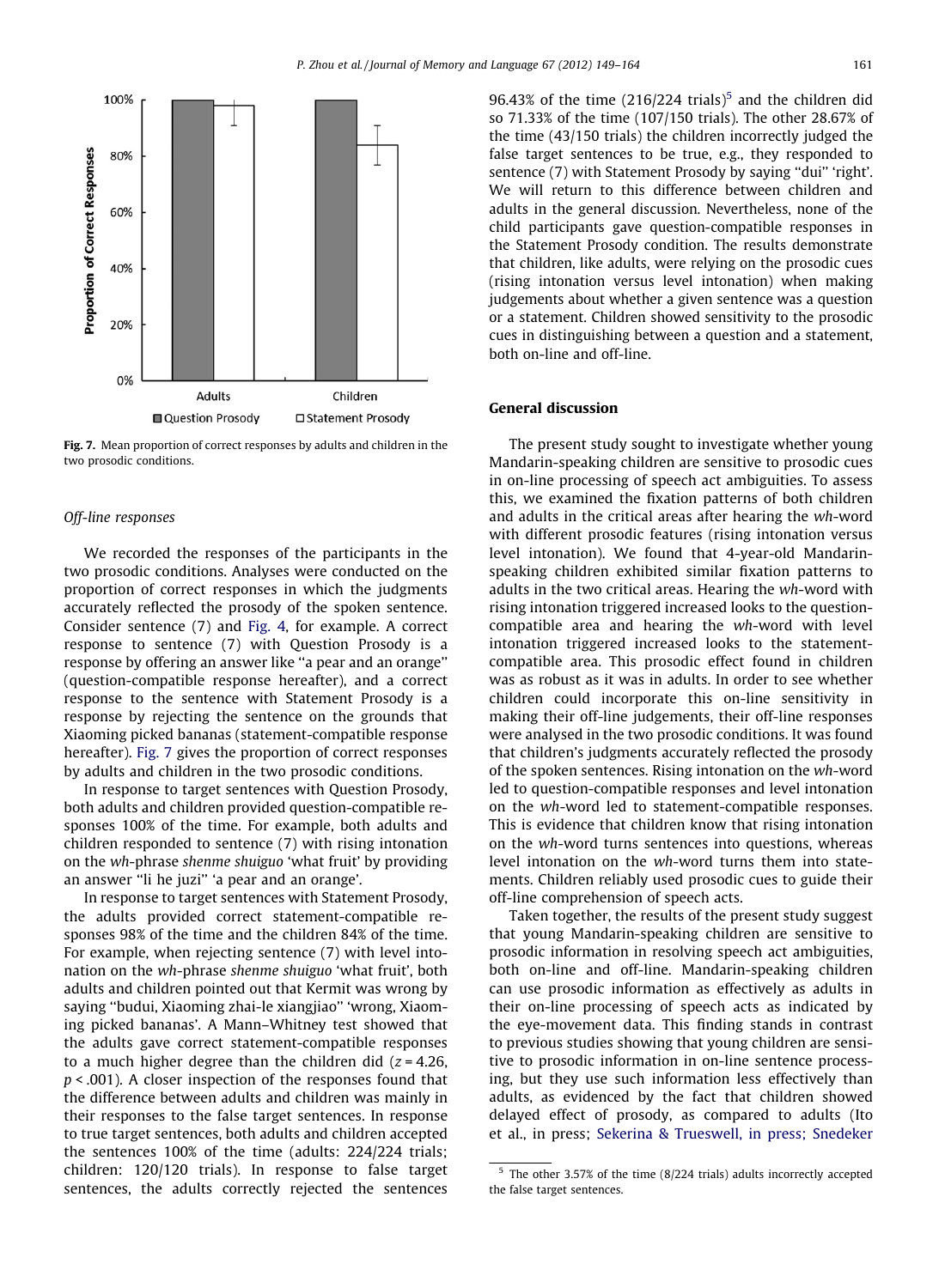

Fig. 7. Mean proportion of correct responses by adults and children in the two prosodic conditions.

#### Off-line responses

We recorded the responses of the participants in the two prosodic conditions. Analyses were conducted on the proportion of correct responses in which the judgments accurately reflected the prosody of the spoken sentence. Consider sentence (7) and [Fig. 4,](#page-8-0) for example. A correct response to sentence (7) with Question Prosody is a response by offering an answer like ''a pear and an orange'' (question-compatible response hereafter), and a correct response to the sentence with Statement Prosody is a response by rejecting the sentence on the grounds that Xiaoming picked bananas (statement-compatible response hereafter). Fig. 7 gives the proportion of correct responses by adults and children in the two prosodic conditions.

In response to target sentences with Question Prosody, both adults and children provided question-compatible responses 100% of the time. For example, both adults and children responded to sentence (7) with rising intonation on the wh-phrase shenme shuiguo 'what fruit' by providing an answer ''li he juzi'' 'a pear and an orange'.

In response to target sentences with Statement Prosody, the adults provided correct statement-compatible responses 98% of the time and the children 84% of the time. For example, when rejecting sentence (7) with level intonation on the wh-phrase shenme shuiguo 'what fruit', both adults and children pointed out that Kermit was wrong by saying ''budui, Xiaoming zhai-le xiangjiao'' 'wrong, Xiaoming picked bananas'. A Mann–Whitney test showed that the adults gave correct statement-compatible responses to a much higher degree than the children did  $(z = 4.26,$  $p < .001$ ). A closer inspection of the responses found that the difference between adults and children was mainly in their responses to the false target sentences. In response to true target sentences, both adults and children accepted the sentences 100% of the time (adults: 224/224 trials; children: 120/120 trials). In response to false target sentences, the adults correctly rejected the sentences 96.43% of the time  $(216/224 \text{ trials})^5$  and the children did so 71.33% of the time (107/150 trials). The other 28.67% of the time (43/150 trials) the children incorrectly judged the false target sentences to be true, e.g., they responded to sentence (7) with Statement Prosody by saying "dui" 'right'. We will return to this difference between children and adults in the general discussion. Nevertheless, none of the child participants gave question-compatible responses in the Statement Prosody condition. The results demonstrate that children, like adults, were relying on the prosodic cues (rising intonation versus level intonation) when making judgements about whether a given sentence was a question or a statement. Children showed sensitivity to the prosodic cues in distinguishing between a question and a statement, both on-line and off-line.

# General discussion

The present study sought to investigate whether young Mandarin-speaking children are sensitive to prosodic cues in on-line processing of speech act ambiguities. To assess this, we examined the fixation patterns of both children and adults in the critical areas after hearing the wh-word with different prosodic features (rising intonation versus level intonation). We found that 4-year-old Mandarinspeaking children exhibited similar fixation patterns to adults in the two critical areas. Hearing the wh-word with rising intonation triggered increased looks to the questioncompatible area and hearing the wh-word with level intonation triggered increased looks to the statementcompatible area. This prosodic effect found in children was as robust as it was in adults. In order to see whether children could incorporate this on-line sensitivity in making their off-line judgements, their off-line responses were analysed in the two prosodic conditions. It was found that children's judgments accurately reflected the prosody of the spoken sentences. Rising intonation on the wh-word led to question-compatible responses and level intonation on the wh-word led to statement-compatible responses. This is evidence that children know that rising intonation on the wh-word turns sentences into questions, whereas level intonation on the wh-word turns them into statements. Children reliably used prosodic cues to guide their off-line comprehension of speech acts.

Taken together, the results of the present study suggest that young Mandarin-speaking children are sensitive to prosodic information in resolving speech act ambiguities, both on-line and off-line. Mandarin-speaking children can use prosodic information as effectively as adults in their on-line processing of speech acts as indicated by the eye-movement data. This finding stands in contrast to previous studies showing that young children are sensitive to prosodic information in on-line sentence processing, but they use such information less effectively than adults, as evidenced by the fact that children showed delayed effect of prosody, as compared to adults (Ito et al., in press; [Sekerina & Trueswell, in press; Snedeker](#page-15-0)

<sup>5</sup> The other 3.57% of the time (8/224 trials) adults incorrectly accepted the false target sentences.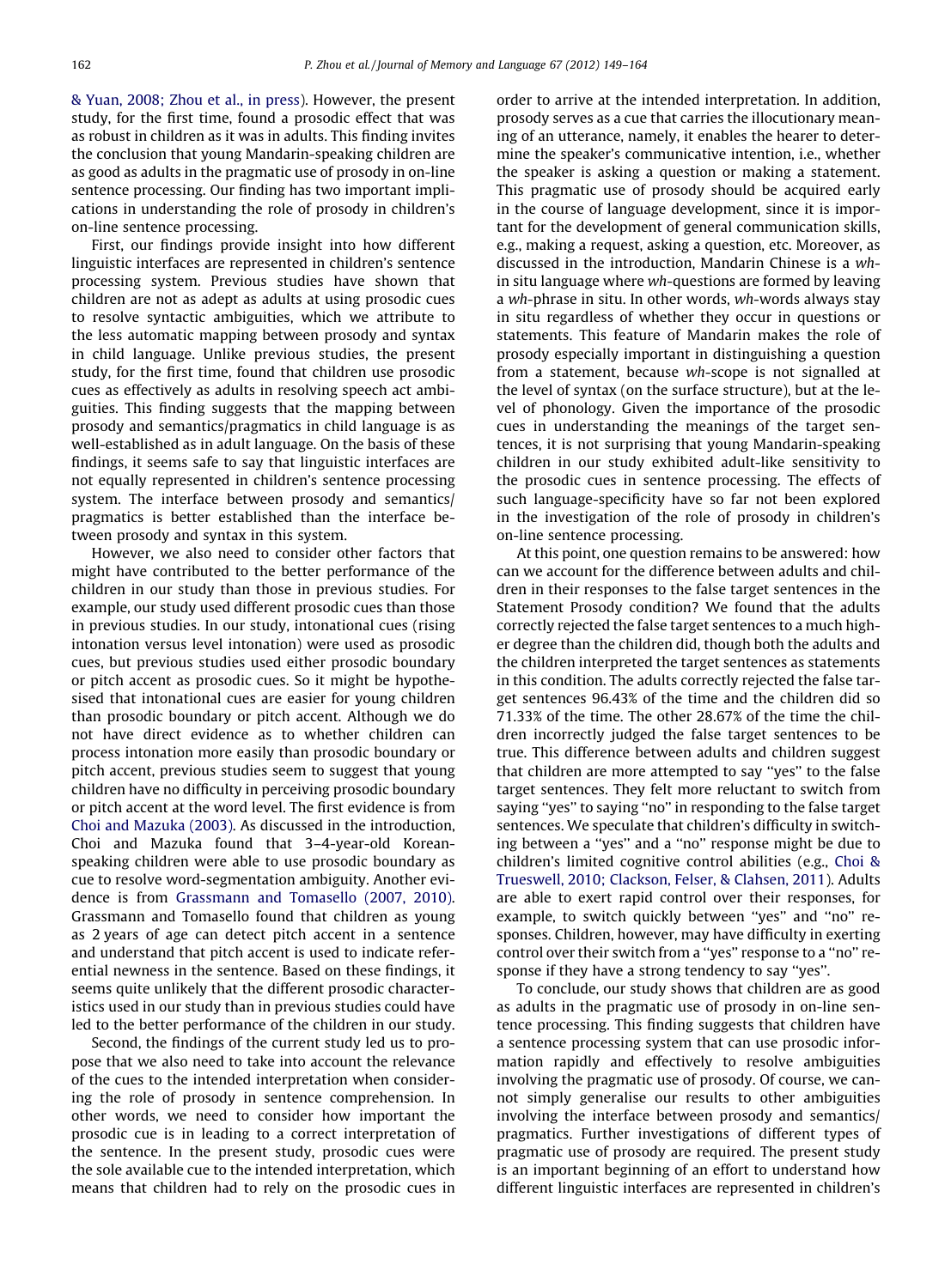[& Yuan, 2008; Zhou et al., in press\)](#page-15-0). However, the present study, for the first time, found a prosodic effect that was as robust in children as it was in adults. This finding invites the conclusion that young Mandarin-speaking children are as good as adults in the pragmatic use of prosody in on-line sentence processing. Our finding has two important implications in understanding the role of prosody in children's on-line sentence processing.

First, our findings provide insight into how different linguistic interfaces are represented in children's sentence processing system. Previous studies have shown that children are not as adept as adults at using prosodic cues to resolve syntactic ambiguities, which we attribute to the less automatic mapping between prosody and syntax in child language. Unlike previous studies, the present study, for the first time, found that children use prosodic cues as effectively as adults in resolving speech act ambiguities. This finding suggests that the mapping between prosody and semantics/pragmatics in child language is as well-established as in adult language. On the basis of these findings, it seems safe to say that linguistic interfaces are not equally represented in children's sentence processing system. The interface between prosody and semantics/ pragmatics is better established than the interface between prosody and syntax in this system.

However, we also need to consider other factors that might have contributed to the better performance of the children in our study than those in previous studies. For example, our study used different prosodic cues than those in previous studies. In our study, intonational cues (rising intonation versus level intonation) were used as prosodic cues, but previous studies used either prosodic boundary or pitch accent as prosodic cues. So it might be hypothesised that intonational cues are easier for young children than prosodic boundary or pitch accent. Although we do not have direct evidence as to whether children can process intonation more easily than prosodic boundary or pitch accent, previous studies seem to suggest that young children have no difficulty in perceiving prosodic boundary or pitch accent at the word level. The first evidence is from [Choi and Mazuka \(2003\)](#page-14-0). As discussed in the introduction, Choi and Mazuka found that 3–4-year-old Koreanspeaking children were able to use prosodic boundary as cue to resolve word-segmentation ambiguity. Another evidence is from [Grassmann and Tomasello \(2007, 2010\)](#page-15-0). Grassmann and Tomasello found that children as young as 2 years of age can detect pitch accent in a sentence and understand that pitch accent is used to indicate referential newness in the sentence. Based on these findings, it seems quite unlikely that the different prosodic characteristics used in our study than in previous studies could have led to the better performance of the children in our study.

Second, the findings of the current study led us to propose that we also need to take into account the relevance of the cues to the intended interpretation when considering the role of prosody in sentence comprehension. In other words, we need to consider how important the prosodic cue is in leading to a correct interpretation of the sentence. In the present study, prosodic cues were the sole available cue to the intended interpretation, which means that children had to rely on the prosodic cues in

order to arrive at the intended interpretation. In addition, prosody serves as a cue that carries the illocutionary meaning of an utterance, namely, it enables the hearer to determine the speaker's communicative intention, i.e., whether the speaker is asking a question or making a statement. This pragmatic use of prosody should be acquired early in the course of language development, since it is important for the development of general communication skills, e.g., making a request, asking a question, etc. Moreover, as discussed in the introduction, Mandarin Chinese is a whin situ language where wh-questions are formed by leaving a wh-phrase in situ. In other words, wh-words always stay in situ regardless of whether they occur in questions or statements. This feature of Mandarin makes the role of prosody especially important in distinguishing a question from a statement, because wh-scope is not signalled at the level of syntax (on the surface structure), but at the level of phonology. Given the importance of the prosodic cues in understanding the meanings of the target sentences, it is not surprising that young Mandarin-speaking children in our study exhibited adult-like sensitivity to the prosodic cues in sentence processing. The effects of such language-specificity have so far not been explored in the investigation of the role of prosody in children's on-line sentence processing.

At this point, one question remains to be answered: how can we account for the difference between adults and children in their responses to the false target sentences in the Statement Prosody condition? We found that the adults correctly rejected the false target sentences to a much higher degree than the children did, though both the adults and the children interpreted the target sentences as statements in this condition. The adults correctly rejected the false target sentences 96.43% of the time and the children did so 71.33% of the time. The other 28.67% of the time the children incorrectly judged the false target sentences to be true. This difference between adults and children suggest that children are more attempted to say ''yes'' to the false target sentences. They felt more reluctant to switch from saying ''yes'' to saying ''no'' in responding to the false target sentences. We speculate that children's difficulty in switching between a ''yes'' and a ''no'' response might be due to children's limited cognitive control abilities (e.g., [Choi &](#page-14-0) [Trueswell, 2010; Clackson, Felser, & Clahsen, 2011\)](#page-14-0). Adults are able to exert rapid control over their responses, for example, to switch quickly between ''yes'' and ''no'' responses. Children, however, may have difficulty in exerting control over their switch from a ''yes'' response to a ''no'' response if they have a strong tendency to say ''yes''.

To conclude, our study shows that children are as good as adults in the pragmatic use of prosody in on-line sentence processing. This finding suggests that children have a sentence processing system that can use prosodic information rapidly and effectively to resolve ambiguities involving the pragmatic use of prosody. Of course, we cannot simply generalise our results to other ambiguities involving the interface between prosody and semantics/ pragmatics. Further investigations of different types of pragmatic use of prosody are required. The present study is an important beginning of an effort to understand how different linguistic interfaces are represented in children's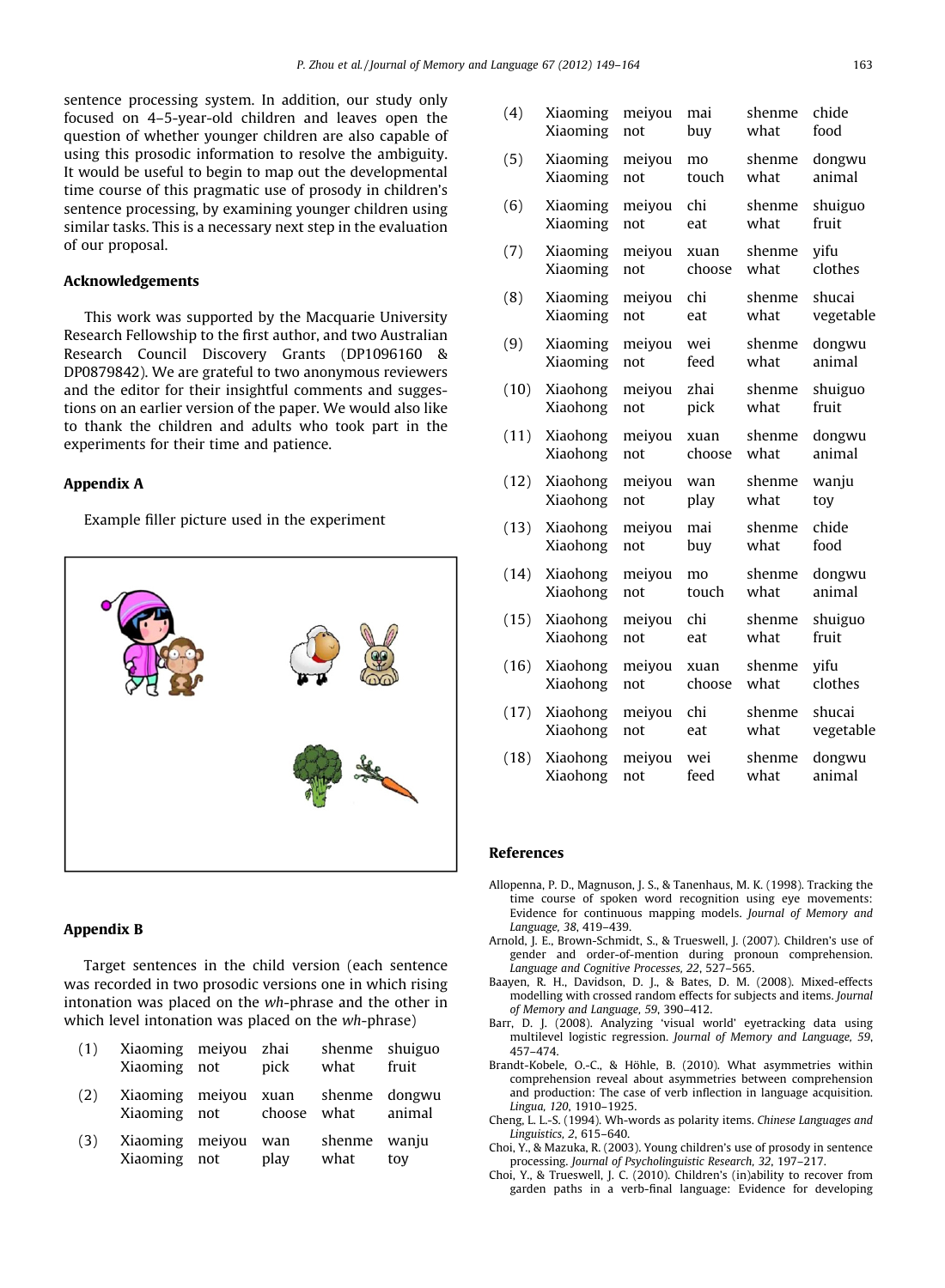<span id="page-14-0"></span>sentence processing system. In addition, our study only focused on 4–5-year-old children and leaves open the question of whether younger children are also capable of using this prosodic information to resolve the ambiguity. It would be useful to begin to map out the developmental time course of this pragmatic use of prosody in children's sentence processing, by examining younger children using similar tasks. This is a necessary next step in the evaluation of our proposal.

# Acknowledgements

This work was supported by the Macquarie University Research Fellowship to the first author, and two Australian Research Council Discovery Grants (DP1096160 & DP0879842). We are grateful to two anonymous reviewers and the editor for their insightful comments and suggestions on an earlier version of the paper. We would also like to thank the children and adults who took part in the experiments for their time and patience.

# Appendix A

Example filler picture used in the experiment



#### Appendix B

Target sentences in the child version (each sentence was recorded in two prosodic versions one in which rising intonation was placed on the wh-phrase and the other in which level intonation was placed on the wh-phrase)

| (1) | Xiaoming meiyou zhai<br>Xiaoming not | pick        | shenme shuiguo<br>what | fruit  |
|-----|--------------------------------------|-------------|------------------------|--------|
| (2) | Xiaoming meiyou<br>Xiaoming not      | choose what | xuan shenme dongwu     | animal |
| (3) | Xiaoming meiyou<br>Xiaoming not      | wan<br>play | shenme wanju<br>what   | tov    |

| (4)  | Xiaoming | meiyou | mai    | shenme | chide     |
|------|----------|--------|--------|--------|-----------|
|      | Xiaoming | not    | buy    | what   | food      |
| (5)  | Xiaoming | meiyou | mo     | shenme | dongwu    |
|      | Xiaoming | not    | touch  | what   | animal    |
| (6)  | Xiaoming | meiyou | chi    | shenme | shuiguo   |
|      | Xiaoming | not    | eat    | what   | fruit     |
| (7)  | Xiaoming | meiyou | xuan   | shenme | yifu      |
|      | Xiaoming | not    | choose | what   | clothes   |
| (8)  | Xiaoming | meiyou | chi    | shenme | shucai    |
|      | Xiaoming | not    | eat    | what   | vegetable |
| (9)  | Xiaoming | meiyou | wei    | shenme | dongwu    |
|      | Xiaoming | not    | feed   | what   | animal    |
| (10) | Xiaohong | meiyou | zhai   | shenme | shuiguo   |
|      | Xiaohong | not    | pick   | what   | fruit     |
| (11) | Xiaohong | meiyou | xuan   | shenme | dongwu    |
|      | Xiaohong | not    | choose | what   | animal    |
| (12) | Xiaohong | meiyou | wan    | shenme | wanju     |
|      | Xiaohong | not    | play   | what   | toy       |
| (13) | Xiaohong | meiyou | mai    | shenme | chide     |
|      | Xiaohong | not    | buy    | what   | food      |
| (14) | Xiaohong | meiyou | mo     | shenme | dongwu    |
|      | Xiaohong | not    | touch  | what   | animal    |
| (15) | Xiaohong | meiyou | chi    | shenme | shuiguo   |
|      | Xiaohong | not    | eat    | what   | fruit     |
| (16) | Xiaohong | meiyou | xuan   | shenme | yifu      |
|      | Xiaohong | not    | choose | what   | clothes   |
| (17) | Xiaohong | meiyou | chi    | shenme | shucai    |
|      | Xiaohong | not    | eat    | what   | vegetable |
| (18) | Xiaohong | meiyou | wei    | shenme | dongwu    |
|      | Xiaohong | not    | feed   | what   | animal    |

#### References

- Allopenna, P. D., Magnuson, J. S., & Tanenhaus, M. K. (1998). Tracking the time course of spoken word recognition using eye movements: Evidence for continuous mapping models. Journal of Memory and Language, 38, 419–439.
- Arnold, J. E., Brown-Schmidt, S., & Trueswell, J. (2007). Children's use of gender and order-of-mention during pronoun comprehension. Language and Cognitive Processes, 22, 527–565.
- Baayen, R. H., Davidson, D. J., & Bates, D. M. (2008). Mixed-effects modelling with crossed random effects for subjects and items. Journal of Memory and Language, 59, 390–412.
- Barr, D. J. (2008). Analyzing 'visual world' eyetracking data using multilevel logistic regression. Journal of Memory and Language, 59, 457–474.
- Brandt-Kobele, O.-C., & Höhle, B. (2010). What asymmetries within comprehension reveal about asymmetries between comprehension and production: The case of verb inflection in language acquisition. Lingua, 120, 1910–1925.
- Cheng, L. L.-S. (1994). Wh-words as polarity items. Chinese Languages and Linguistics, 2, 615–640.
- Choi, Y., & Mazuka, R. (2003). Young children's use of prosody in sentence processing. Journal of Psycholinguistic Research, 32, 197–217.
- Choi, Y., & Trueswell, J. C. (2010). Children's (in)ability to recover from garden paths in a verb-final language: Evidence for developing